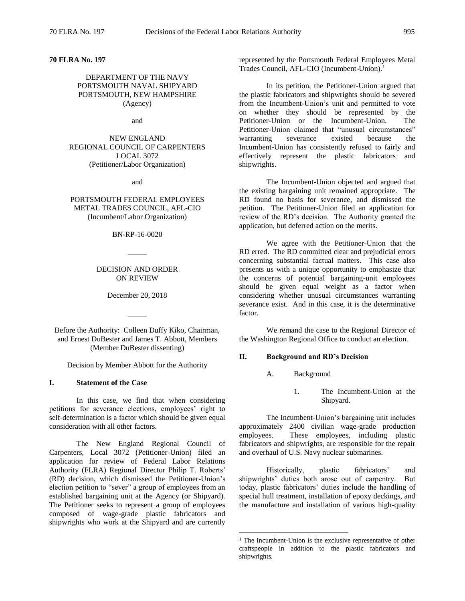# **70 FLRA No. 197**

## DEPARTMENT OF THE NAVY PORTSMOUTH NAVAL SHIPYARD PORTSMOUTH, NEW HAMPSHIRE (Agency)

and

NEW ENGLAND REGIONAL COUNCIL OF CARPENTERS LOCAL 3072 (Petitioner/Labor Organization)

and

PORTSMOUTH FEDERAL EMPLOYEES METAL TRADES COUNCIL, AFL-CIO (Incumbent/Labor Organization)

BN-RP-16-0020

 $\overline{\phantom{a}}$ 

## DECISION AND ORDER ON REVIEW

December 20, 2018

 $\overline{\phantom{a}}$ 

Before the Authority: Colleen Duffy Kiko, Chairman, and Ernest DuBester and James T. Abbott, Members (Member DuBester dissenting)

Decision by Member Abbott for the Authority

#### **I. Statement of the Case**

In this case, we find that when considering petitions for severance elections, employees' right to self-determination is a factor which should be given equal consideration with all other factors.

The New England Regional Council of Carpenters, Local 3072 (Petitioner-Union) filed an application for review of Federal Labor Relations Authority (FLRA) Regional Director Philip T. Roberts' (RD) decision, which dismissed the Petitioner-Union's election petition to "sever" a group of employees from an established bargaining unit at the Agency (or Shipyard). The Petitioner seeks to represent a group of employees composed of wage-grade plastic fabricators and shipwrights who work at the Shipyard and are currently

represented by the Portsmouth Federal Employees Metal Trades Council, AFL-CIO (Incumbent-Union).<sup>1</sup>

In its petition, the Petitioner-Union argued that the plastic fabricators and shipwrights should be severed from the Incumbent-Union's unit and permitted to vote on whether they should be represented by the Petitioner-Union or the Incumbent-Union. The Petitioner-Union claimed that "unusual circumstances" warranting severance existed because the Incumbent-Union has consistently refused to fairly and effectively represent the plastic fabricators and shipwrights.

The Incumbent-Union objected and argued that the existing bargaining unit remained appropriate. The RD found no basis for severance, and dismissed the petition. The Petitioner-Union filed an application for review of the RD's decision. The Authority granted the application, but deferred action on the merits.

We agree with the Petitioner-Union that the RD erred. The RD committed clear and prejudicial errors concerning substantial factual matters. This case also presents us with a unique opportunity to emphasize that the concerns of potential bargaining-unit employees should be given equal weight as a factor when considering whether unusual circumstances warranting severance exist. And in this case, it is the determinative factor.

We remand the case to the Regional Director of the Washington Regional Office to conduct an election.

#### **II. Background and RD's Decision**

A. Background

 $\overline{a}$ 

1. The Incumbent-Union at the Shipyard.

The Incumbent-Union's bargaining unit includes approximately 2400 civilian wage-grade production employees. These employees, including plastic fabricators and shipwrights, are responsible for the repair and overhaul of U.S. Navy nuclear submarines.

Historically, plastic fabricators' and shipwrights' duties both arose out of carpentry. But today, plastic fabricators' duties include the handling of special hull treatment, installation of epoxy deckings, and the manufacture and installation of various high-quality

<sup>&</sup>lt;sup>1</sup> The Incumbent-Union is the exclusive representative of other craftspeople in addition to the plastic fabricators and shipwrights.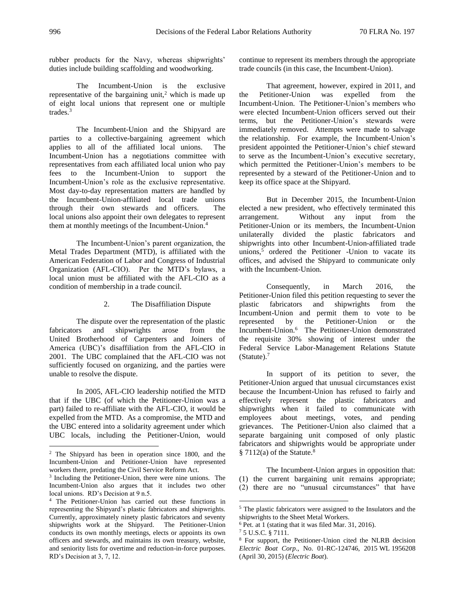rubber products for the Navy, whereas shipwrights' duties include building scaffolding and woodworking.

The Incumbent-Union is the exclusive representative of the bargaining unit,<sup>2</sup> which is made up of eight local unions that represent one or multiple trades.<sup>3</sup>

The Incumbent-Union and the Shipyard are parties to a collective-bargaining agreement which applies to all of the affiliated local unions. The Incumbent-Union has a negotiations committee with representatives from each affiliated local union who pay fees to the Incumbent-Union to support the Incumbent-Union's role as the exclusive representative. Most day-to-day representation matters are handled by the Incumbent-Union-affiliated local trade unions through their own stewards and officers. The local unions also appoint their own delegates to represent them at monthly meetings of the Incumbent-Union.<sup>4</sup>

The Incumbent-Union's parent organization, the Metal Trades Department (MTD), is affiliated with the American Federation of Labor and Congress of Industrial Organization (AFL-CIO). Per the MTD's bylaws, a local union must be affiliated with the AFL-CIO as a condition of membership in a trade council.

### 2. The Disaffiliation Dispute

The dispute over the representation of the plastic fabricators and shipwrights arose from the United Brotherhood of Carpenters and Joiners of America (UBC)'s disaffiliation from the AFL-CIO in 2001. The UBC complained that the AFL-CIO was not sufficiently focused on organizing, and the parties were unable to resolve the dispute.

In 2005, AFL-CIO leadership notified the MTD that if the UBC (of which the Petitioner-Union was a part) failed to re-affiliate with the AFL-CIO, it would be expelled from the MTD. As a compromise, the MTD and the UBC entered into a solidarity agreement under which UBC locals, including the Petitioner-Union, would

continue to represent its members through the appropriate trade councils (in this case, the Incumbent-Union).

That agreement, however, expired in 2011, and the Petitioner-Union was expelled from the Incumbent-Union. The Petitioner-Union's members who were elected Incumbent-Union officers served out their terms, but the Petitioner-Union's stewards were immediately removed. Attempts were made to salvage the relationship. For example, the Incumbent-Union's president appointed the Petitioner-Union's chief steward to serve as the Incumbent-Union's executive secretary, which permitted the Petitioner-Union's members to be represented by a steward of the Petitioner-Union and to keep its office space at the Shipyard.

But in December 2015, the Incumbent-Union elected a new president, who effectively terminated this arrangement. Without any input from the Petitioner-Union or its members, the Incumbent-Union unilaterally divided the plastic fabricators and shipwrights into other Incumbent-Union-affiliated trade unions,<sup>5</sup> ordered the Petitioner -Union to vacate its offices, and advised the Shipyard to communicate only with the Incumbent-Union.

Consequently, in March 2016, the Petitioner-Union filed this petition requesting to sever the plastic fabricators and shipwrights from the Incumbent-Union and permit them to vote to be represented by the Petitioner-Union or the Incumbent-Union.<sup>6</sup> The Petitioner-Union demonstrated the requisite 30% showing of interest under the Federal Service Labor-Management Relations Statute (Statute).<sup>7</sup>

In support of its petition to sever, the Petitioner-Union argued that unusual circumstances exist because the Incumbent-Union has refused to fairly and effectively represent the plastic fabricators and shipwrights when it failed to communicate with employees about meetings, votes, and pending grievances. The Petitioner-Union also claimed that a separate bargaining unit composed of only plastic fabricators and shipwrights would be appropriate under  $§ 7112(a)$  of the Statute.<sup>8</sup>

The Incumbent-Union argues in opposition that: (1) the current bargaining unit remains appropriate; (2) there are no "unusual circumstances" that have

 $\overline{a}$ 

<sup>2</sup> The Shipyard has been in operation since 1800, and the Incumbent-Union and Petitioner-Union have represented workers there, predating the Civil Service Reform Act.

<sup>&</sup>lt;sup>3</sup> Including the Petitioner-Union, there were nine unions. The Incumbent-Union also argues that it includes two other local unions. RD's Decision at 9 n.5.

<sup>4</sup> The Petitioner-Union has carried out these functions in representing the Shipyard's plastic fabricators and shipwrights. Currently, approximately ninety plastic fabricators and seventy shipwrights work at the Shipyard. The Petitioner-Union conducts its own monthly meetings, elects or appoints its own officers and stewards, and maintains its own treasury, website, and seniority lists for overtime and reduction-in-force purposes. RD's Decision at 3, 7, 12.

<sup>5</sup> The plastic fabricators were assigned to the Insulators and the shipwrights to the Sheet Metal Workers.

<sup>6</sup> Pet. at 1 (stating that it was filed Mar. 31, 2016).

<sup>7</sup> 5 U.S.C. § 7111.

<sup>8</sup> For support, the Petitioner-Union cited the NLRB decision *Electric Boat Corp*., No. 01-RC-124746, 2015 WL 1956208 (April 30, 2015) (*Electric Boat*).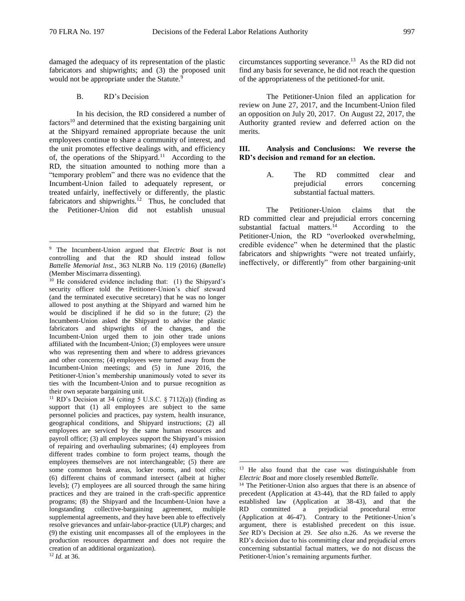damaged the adequacy of its representation of the plastic fabricators and shipwrights; and (3) the proposed unit would not be appropriate under the Statute.<sup>9</sup>

### B. RD's Decision

In his decision, the RD considered a number of  $factors<sup>10</sup>$  and determined that the existing bargaining unit at the Shipyard remained appropriate because the unit employees continue to share a community of interest, and the unit promotes effective dealings with, and efficiency of, the operations of the Shipyard.<sup>11</sup> According to the RD, the situation amounted to nothing more than a "temporary problem" and there was no evidence that the Incumbent-Union failed to adequately represent, or treated unfairly, ineffectively or differently, the plastic fabricators and shipwrights. $12$  Thus, he concluded that the Petitioner-Union did not establish unusual

<sup>12</sup> *Id.* at 36.

circumstances supporting severance.<sup>13</sup> As the RD did not find any basis for severance, he did not reach the question of the appropriateness of the petitioned-for unit.

The Petitioner-Union filed an application for review on June 27, 2017, and the Incumbent-Union filed an opposition on July 20, 2017. On August 22, 2017, the Authority granted review and deferred action on the merits.

### **III. Analysis and Conclusions: We reverse the RD's decision and remand for an election.**

A. The RD committed clear and prejudicial errors concerning substantial factual matters.

The Petitioner-Union claims that the RD committed clear and prejudicial errors concerning substantial factual matters. $14$  According to the Petitioner-Union, the RD "overlooked overwhelming, credible evidence" when he determined that the plastic fabricators and shipwrights "were not treated unfairly, ineffectively, or differently" from other bargaining-unit

<sup>9</sup> The Incumbent-Union argued that *Electric Boat* is not controlling and that the RD should instead follow *Battelle Memorial Inst.*, 363 NLRB No. 119 (2016) (*Battelle*) (Member Miscimarra dissenting).

<sup>&</sup>lt;sup>10</sup> He considered evidence including that: (1) the Shipyard's security officer told the Petitioner-Union's chief steward (and the terminated executive secretary) that he was no longer allowed to post anything at the Shipyard and warned him he would be disciplined if he did so in the future; (2) the Incumbent-Union asked the Shipyard to advise the plastic fabricators and shipwrights of the changes, and the Incumbent-Union urged them to join other trade unions affiliated with the Incumbent-Union; (3) employees were unsure who was representing them and where to address grievances and other concerns; (4) employees were turned away from the Incumbent-Union meetings; and (5) in June 2016, the Petitioner-Union's membership unanimously voted to sever its ties with the Incumbent-Union and to pursue recognition as their own separate bargaining unit.

 $11$  RD's Decision at 34 (citing 5 U.S.C. § 7112(a)) (finding as support that (1) all employees are subject to the same personnel policies and practices, pay system, health insurance, geographical conditions, and Shipyard instructions; (2) all employees are serviced by the same human resources and payroll office; (3) all employees support the Shipyard's mission of repairing and overhauling submarines; (4) employees from different trades combine to form project teams, though the employees themselves are not interchangeable; (5) there are some common break areas, locker rooms, and tool cribs; (6) different chains of command intersect (albeit at higher levels); (7) employees are all sourced through the same hiring practices and they are trained in the craft-specific apprentice programs; (8) the Shipyard and the Incumbent-Union have a longstanding collective-bargaining agreement, multiple supplemental agreements, and they have been able to effectively resolve grievances and unfair-labor-practice (ULP) charges; and (9) the existing unit encompasses all of the employees in the production resources department and does not require the creation of an additional organization).

<sup>&</sup>lt;sup>13</sup> He also found that the case was distinguishable from *Electric Boat* and more closely resembled *Battelle*.

<sup>&</sup>lt;sup>14</sup> The Petitioner-Union also argues that there is an absence of precedent (Application at 43-44), that the RD failed to apply established law (Application at 38-43), and that the RD committed a prejudicial procedural error (Application at 46-47). Contrary to the Petitioner-Union's argument, there is established precedent on this issue. *See* RD's Decision at 29. *See also* n.26. As we reverse the RD's decision due to his committing clear and prejudicial errors concerning substantial factual matters, we do not discuss the Petitioner-Union's remaining arguments further.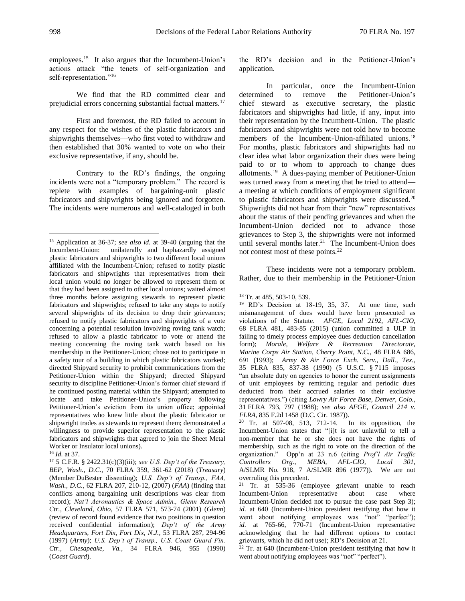employees.<sup>15</sup> It also argues that the Incumbent-Union's actions attack "the tenets of self-organization and self-representation."<sup>16</sup>

We find that the RD committed clear and prejudicial errors concerning substantial factual matters.<sup>17</sup>

First and foremost, the RD failed to account in any respect for the wishes of the plastic fabricators and shipwrights themselves—who first voted to withdraw and then established that 30% wanted to vote on who their exclusive representative, if any, should be.

Contrary to the RD's findings, the ongoing incidents were not a "temporary problem." The record is replete with examples of bargaining-unit plastic fabricators and shipwrights being ignored and forgotten. The incidents were numerous and well-cataloged in both the RD's decision and in the Petitioner-Union's application.

In particular, once the Incumbent-Union determined to remove the Petitioner-Union's chief steward as executive secretary, the plastic fabricators and shipwrights had little, if any, input into their representation by the Incumbent-Union. The plastic fabricators and shipwrights were not told how to become members of the Incumbent-Union-affiliated unions.<sup>18</sup> For months, plastic fabricators and shipwrights had no clear idea what labor organization their dues were being paid to or to whom to approach to change dues allotments.<sup>19</sup> A dues-paying member of Petitioner-Union was turned away from a meeting that he tried to attend a meeting at which conditions of employment significant to plastic fabricators and shipwrights were discussed.<sup>20</sup> Shipwrights did not hear from their "new" representatives about the status of their pending grievances and when the Incumbent-Union decided not to advance those grievances to Step 3, the shipwrights were not informed until several months later.<sup>21</sup> The Incumbent-Union does not contest most of these points.<sup>22</sup>

These incidents were not a temporary problem. Rather, due to their membership in the Petitioner-Union

 $\overline{a}$ 

<sup>20</sup> Tr. at 507-08, 513, 712-14. In its opposition, the Incumbent-Union states that "[i]t is not unlawful to tell a non-member that he or she does not have the rights of membership, such as the right to vote on the direction of the organization." Opp'n at 23 n.6 (citing *Prof'l Air Traffic Controllers Org., MEBA, AFL-CIO, Local 301*, A/SLMR No. 918, 7 A/SLMR 896 (1977)). We are not overruling this precedent.

<sup>21</sup> Tr. at 535-36 (employee grievant unable to reach Incumbent-Union representative about case where Incumbent-Union decided not to pursue the case past Step 3); *id.* at 640 (Incumbent-Union president testifying that how it went about notifying employees was "not" "perfect"); *id.* at 765-66, 770-71 (Incumbent-Union representative acknowledging that he had different options to contact grievants, which he did not use); RD's Decision at 21.

 $22$  Tr. at 640 (Incumbent-Union president testifying that how it went about notifying employees was "not" "perfect").

<sup>15</sup> Application at 36-37; *see also id.* at 39-40 (arguing that the Incumbent-Union: unilaterally and haphazardly assigned plastic fabricators and shipwrights to two different local unions affiliated with the Incumbent-Union; refused to notify plastic fabricators and shipwrights that representatives from their local union would no longer be allowed to represent them or that they had been assigned to other local unions; waited almost three months before assigning stewards to represent plastic fabricators and shipwrights; refused to take any steps to notify several shipwrights of its decision to drop their grievances; refused to notify plastic fabricators and shipwrights of a vote concerning a potential resolution involving roving tank watch; refused to allow a plastic fabricator to vote or attend the meeting concerning the roving tank watch based on his membership in the Petitioner-Union; chose not to participate in a safety tour of a building in which plastic fabricators worked; directed Shipyard security to prohibit communications from the Petitioner-Union within the Shipyard; directed Shipyard security to discipline Petitioner-Union's former chief steward if he continued posting material within the Shipyard; attempted to locate and take Petitioner-Union's property following Petitioner-Union's eviction from its union office; appointed representatives who knew little about the plastic fabricator or shipwright trades as stewards to represent them; demonstrated a willingness to provide superior representation to the plastic fabricators and shipwrights that agreed to join the Sheet Metal Worker or Insulator local unions).

<sup>16</sup> *Id.* at 37.

<sup>17</sup> 5 C.F.R. § 2422.31(c)(3)(iii); *see U.S. Dep't of the Treasury, BEP, Wash., D.C.*, 70 FLRA 359, 361-62 (2018) (*Treasury*) (Member DuBester dissenting); *U.S. Dep't of Transp., FAA, Wash., D.C.*, 62 FLRA 207, 210-12, (2007) (*FAA*) (finding that conflicts among bargaining unit descriptions was clear from record); *Nat'l Aeronautics & Space Admin., Glenn Research Ctr., Cleveland, Ohio*, 57 FLRA 571, 573-74 (2001) (*Glenn*) (review of record found evidence that two positions in question received confidential information); *Dep't of the Army Headquarters, Fort Dix, Fort Dix, N.J.*, 53 FLRA 287, 294-96 (1997) (*Army*); *U.S. Dep't of Transp., U.S. Coast Guard Fin. Ctr., Chesapeake, Va.*, 34 FLRA 946, 955 (1990) (*Coast Guard*).

<sup>18</sup> Tr. at 485, 503-10, 539.

<sup>&</sup>lt;sup>19</sup> RD's Decision at 18-19, 35, 37. At one time, such mismanagement of dues would have been prosecuted as violations of the Statute. *AFGE, Local 2192, AFL-CIO*, 68 FLRA 481, 483-85 (2015) (union committed a ULP in failing to timely process employee dues deduction cancellation form); *Morale, Welfare & Recreation Directorate, Marine Corps Air Station, Cherry Point, N.C.*, 48 FLRA 686, 691 (1993); *Army & Air Force Exch. Serv., Dall., Tex.*, 35 FLRA 835, 837-38 (1990) (5 U.S.C. § 7115 imposes "an absolute duty on agencies to honor the current assignments of unit employees by remitting regular and periodic dues deducted from their accrued salaries to their exclusive representatives.") (citing *Lowry Air Force Base, Denver, Colo.*, 31 FLRA 793, 797 (1988); *see also AFGE, Council 214 v. FLRA*, 835 F.2d 1458 (D.C. Cir. 1987)).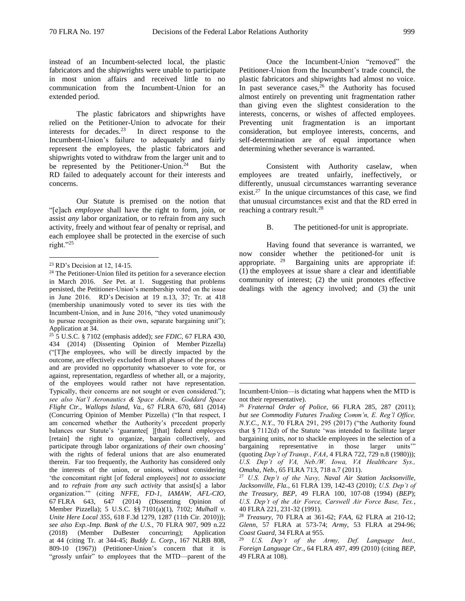instead of an Incumbent-selected local, the plastic fabricators and the shipwrights were unable to participate in most union affairs and received little to no communication from the Incumbent-Union for an extended period.

The plastic fabricators and shipwrights have relied on the Petitioner-Union to advocate for their interests for decades. $23$  In direct response to the Incumbent-Union's failure to adequately and fairly represent the employees, the plastic fabricators and shipwrights voted to withdraw from the larger unit and to be represented by the Petitioner-Union.<sup>24</sup> But the RD failed to adequately account for their interests and concerns.

Our Statute is premised on the notion that "[e]ach *employee* shall have the right to form, join, or assist *any* labor organization, or to refrain from any such activity, freely and without fear of penalty or reprisal, and each employee shall be protected in the exercise of such right."<sup>25</sup>

 $\overline{a}$ 

<sup>25</sup> 5 U.S.C. § 7102 (emphasis added); *see FDIC*, 67 FLRA 430, 434 (2014) (Dissenting Opinion of Member Pizzella) ("[T]he employees, who will be directly impacted by the outcome, are effectively excluded from all phases of the process and are provided no opportunity whatsoever to vote for, or against, representation, regardless of whether all, or a majority, of the employees would rather not have representation. Typically, their concerns are not sought or even considered."); *see also Nat'l Aeronautics & Space Admin., Goddard Space Flight Ctr., Wallops Island, Va.*, 67 FLRA 670, 681 (2014) (Concurring Opinion of Member Pizzella) ("In that respect, I am concerned whether the Authority's precedent properly balances our Statute's 'guarantee[ ][that] federal employees [retain] the right to organize, bargain collectively, and participate through labor organizations *of their own choosing*' with the rights of federal unions that are also enumerated therein. Far too frequently, the Authority has considered only the interests of the union, or unions, without considering 'the concomitant right [of federal employees] *not to associate*  and *to refrain from any such activity* that assist[s] a labor organization.'" (citing *NFFE, FD-1, IAMAW, AFL-CIO*, 67 FLRA 643, 647 (2014) (Dissenting Opinion of Member Pizzella); 5 U.S.C. §§ 7101(a)(1), 7102; *Mulhall v. Unite Here Local 355*, 618 F.3d 1279, 1287 (11th Cir. 2010))); *see also Exp.-Imp. Bank of the U.S.*, 70 FLRA 907, 909 n.22 (2018) (Member DuBester concurring); Application at 44 (citing Tr. at 344-45; *Buddy L. Corp.*, 167 NLRB 808, 809-10 (1967)) (Petitioner-Union's concern that it is "grossly unfair" to employees that the MTD—parent of the

Once the Incumbent-Union "removed" the Petitioner-Union from the Incumbent's trade council, the plastic fabricators and shipwrights had almost no voice. In past severance cases, $26$  the Authority has focused almost entirely on preventing unit fragmentation rather than giving even the slightest consideration to the interests, concerns, or wishes of affected employees. Preventing unit fragmentation is an important consideration, but employee interests, concerns, and self-determination are of equal importance when determining whether severance is warranted.

Consistent with Authority caselaw, when employees are treated unfairly, ineffectively, or differently, unusual circumstances warranting severance exist.<sup>27</sup> In the unique circumstances of this case, we find that unusual circumstances exist and that the RD erred in reaching a contrary result.<sup>28</sup>

B. The petitioned-for unit is appropriate.

Having found that severance is warranted, we now consider whether the petitioned-for unit is appropriate.  $29$  Bargaining units are appropriate if: (1) the employees at issue share a clear and identifiable community of interest; (2) the unit promotes effective dealings with the agency involved; and (3) the unit

<sup>23</sup> RD's Decision at 12, 14-15.

<sup>&</sup>lt;sup>24</sup> The Petitioner-Union filed its petition for a severance election in March 2016. *See* Pet. at 1. Suggesting that problems persisted, the Petitioner-Union's membership voted on the issue in June 2016. RD's Decision at 19 n.13, 37; Tr. at 418 (membership unanimously voted to sever its ties with the Incumbent-Union, and in June 2016, "they voted unanimously to pursue recognition as their own, separate bargaining unit"); Application at 34.

Incumbent-Union—is dictating what happens when the MTD is not their representative).

<sup>26</sup> *Fraternal Order of Police*, 66 FLRA 285, 287 (2011); *but see Commodity Futures Trading Comm'n, E. Reg'l Office, N.Y.C., N.Y.*, 70 FLRA 291, 295 (2017) ("the Authority found that § 7112(d) of the Statute 'was intended to facilitate larger bargaining units, *not* to shackle employees in the selection of a bargaining representative in those larger units'" (quoting *Dep't of Transp., FAA*, 4 FLRA 722, 729 n.8 (1980))); *U.S. Dep't of VA, Neb./W. Iowa, VA Healthcare Sys., Omaha, Neb.*, 65 FLRA 713, 718 n.7 (2011).

<sup>27</sup> *U.S. Dep't of the Navy, Naval Air Station Jacksonville, Jacksonville, Fla.*, 61 FLRA 139, 142-43 (2010); *U.S. Dep't of the Treasury, BEP*, 49 FLRA 100, 107-08 (1994) (*BEP*); *U.S. Dep't of the Air Force, Carswell Air Force Base, Tex.*, 40 FLRA 221, 231-32 (1991).

<sup>28</sup> *Treasury*, 70 FLRA at 361-62; *FAA*, 62 FLRA at 210-12; *Glenn*, 57 FLRA at 573-74; *Army*, 53 FLRA at 294-96; *Coast Guard*, 34 FLRA at 955.

<sup>29</sup> *U.S. Dep't of the Army, Def. Language Inst., Foreign Language Ctr.*, 64 FLRA 497, 499 (2010) (citing *BEP*, 49 FLRA at 108).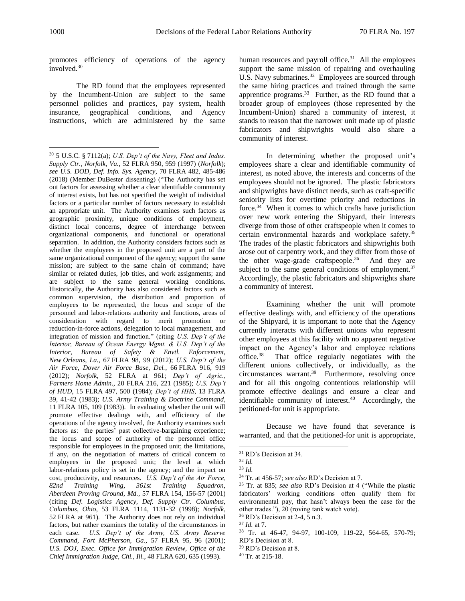promotes efficiency of operations of the agency involved.<sup>30</sup>

The RD found that the employees represented by the Incumbent-Union are subject to the same personnel policies and practices, pay system, health insurance, geographical conditions, and Agency instructions, which are administered by the same

human resources and payroll office.<sup>31</sup> All the employees support the same mission of repairing and overhauling U.S. Navy submarines.<sup>32</sup> Employees are sourced through the same hiring practices and trained through the same apprentice programs. $33$  Further, as the RD found that a broader group of employees (those represented by the Incumbent-Union) shared a community of interest, it stands to reason that the narrower unit made up of plastic fabricators and shipwrights would also share a community of interest.

In determining whether the proposed unit's employees share a clear and identifiable community of interest, as noted above, the interests and concerns of the employees should not be ignored. The plastic fabricators and shipwrights have distinct needs, such as craft-specific seniority lists for overtime priority and reductions in force.<sup>34</sup> When it comes to which crafts have jurisdiction over new work entering the Shipyard, their interests diverge from those of other craftspeople when it comes to certain environmental hazards and workplace safety.<sup>35</sup> The trades of the plastic fabricators and shipwrights both arose out of carpentry work, and they differ from those of the other wage-grade craftspeople. $36$  And they are subject to the same general conditions of employment.<sup>37</sup> Accordingly, the plastic fabricators and shipwrights share a community of interest.

Examining whether the unit will promote effective dealings with, and efficiency of the operations of the Shipyard, it is important to note that the Agency currently interacts with different unions who represent other employees at this facility with no apparent negative impact on the Agency's labor and employee relations office.<sup>38</sup> That office regularly negotiates with the different unions collectively, or individually, as the circumstances warrant.<sup>39</sup> Furthermore, resolving once and for all this ongoing contentious relationship will promote effective dealings and ensure a clear and identifiable community of interest.<sup>40</sup> Accordingly, the petitioned-for unit is appropriate.

Because we have found that severance is warranted, and that the petitioned-for unit is appropriate,

<sup>30</sup> 5 U.S.C. § 7112(a); *U.S. Dep't of the Navy, Fleet and Indus. Supply Ctr., Norfolk, Va.*, 52 FLRA 950, 959 (1997) (*Norfolk*); *see U.S. DOD, Def. Info. Sys. Agency*, 70 FLRA 482, 485-486 (2018) (Member DuBester dissenting) ("The Authority has set out factors for assessing whether a clear identifiable community of interest exists, but has not specified the weight of individual factors or a particular number of factors necessary to establish an appropriate unit. The Authority examines such factors as geographic proximity, unique conditions of employment, distinct local concerns, degree of interchange between organizational components, and functional or operational separation. In addition, the Authority considers factors such as whether the employees in the proposed unit are a part of the same organizational component of the agency; support the same mission; are subject to the same chain of command; have similar or related duties, job titles, and work assignments; and are subject to the same general working conditions. Historically, the Authority has also considered factors such as common supervision, the distribution and proportion of employees to be represented, the locus and scope of the personnel and labor-relations authority and functions, areas of consideration with regard to merit promotion or reduction-in-force actions, delegation to local management, and integration of mission and function." (citing *U.S. Dep't of the Interior, Bureau of Ocean Energy Mgmt. & U.S. Dep't of the Interior, Bureau of Safety & Envtl. Enforcement, New Orleans, La.*, 67 FLRA 98, 99 (2012); *U.S. Dep't of the Air Force, Dover Air Force Base, Del.*, 66 FLRA 916, 919 (2012); *Norfolk*, 52 FLRA at 961; *Dep't of Agric., Farmers Home Admin*., 20 FLRA 216, 221 (1985); *U.S. Dep't of HUD*, 15 FLRA 497, 500 (1984); *Dep't of HHS*, 13 FLRA 39, 41-42 (1983); *U.S. Army Training & Doctrine Command*, 11 FLRA 105, 109 (1983)). In evaluating whether the unit will promote effective dealings with, and efficiency of the operations of the agency involved, the Authority examines such factors as: the parties' past collective-bargaining experience; the locus and scope of authority of the personnel office responsible for employees in the proposed unit; the limitations, if any, on the negotiation of matters of critical concern to employees in the proposed unit; the level at which labor-relations policy is set in the agency; and the impact on cost, productivity, and resources. *U.S. Dep't of the Air Force, 82nd Training Wing, 361st Training Squadron, Aberdeen Proving Ground, Md.*, 57 FLRA 154, 156-57 (2001) (citing *Def. Logistics Agency, Def. Supply Ctr. Columbus, Columbus, Ohio*, 53 FLRA 1114, 1131-32 (1998); *Norfolk*, 52 FLRA at 961). The Authority does not rely on individual factors, but rather examines the totality of the circumstances in each case. *U.S. Dep't of the Army, US. Army Reserve Command, Fort McPherson, Ga.*, 57 FLRA 95, 96 (2001); *U.S. DOJ, Exec. Office for Immigration Review, Office of the Chief Immigration Judge, Chi., Ill.*, 48 FLRA 620, 635 (1993).

<sup>31</sup> RD's Decision at 34.

<sup>32</sup> *Id.*

<sup>33</sup> *Id.* 

<sup>34</sup> Tr. at 456-57; *see also* RD's Decision at 7.

<sup>35</sup> Tr. at 835; *see also* RD's Decision at 4 ("While the plastic fabricators' working conditions often qualify them for environmental pay, that hasn't always been the case for the other trades."), 20 (roving tank watch vote).

<sup>36</sup> RD's Decision at 2-4, 5 n.3.

<sup>37</sup> *Id.* at 7.

<sup>38</sup> Tr. at 46-47, 94-97, 100-109, 119-22, 564-65, 570-79; RD's Decision at 8.

<sup>39</sup> RD's Decision at 8.

<sup>40</sup> Tr. at 215-18.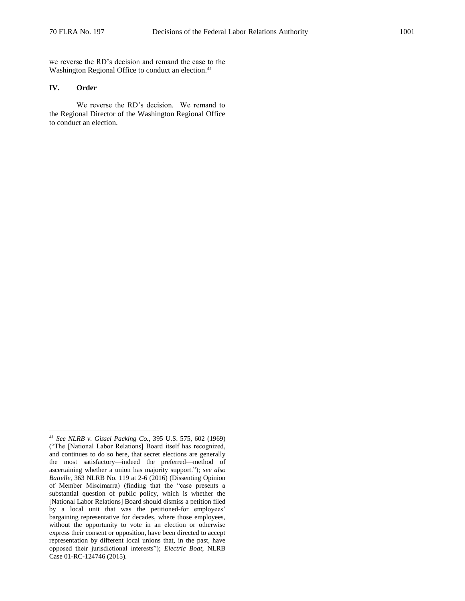we reverse the RD's decision and remand the case to the Washington Regional Office to conduct an election.<sup>41</sup>

# **IV. Order**

 $\overline{a}$ 

We reverse the RD's decision. We remand to the Regional Director of the Washington Regional Office to conduct an election.

<sup>41</sup> *See NLRB v. Gissel Packing Co.*, 395 U.S. 575, 602 (1969) ("The [National Labor Relations] Board itself has recognized, and continues to do so here, that secret elections are generally the most satisfactory—indeed the preferred—method of ascertaining whether a union has majority support."); *see also Battelle*, 363 NLRB No. 119 at 2-6 (2016) (Dissenting Opinion of Member Miscimarra) (finding that the "case presents a substantial question of public policy, which is whether the [National Labor Relations] Board should dismiss a petition filed by a local unit that was the petitioned-for employees' bargaining representative for decades, where those employees, without the opportunity to vote in an election or otherwise express their consent or opposition, have been directed to accept representation by different local unions that, in the past, have opposed their jurisdictional interests"); *Electric Boat*, NLRB Case 01-RC-124746 (2015).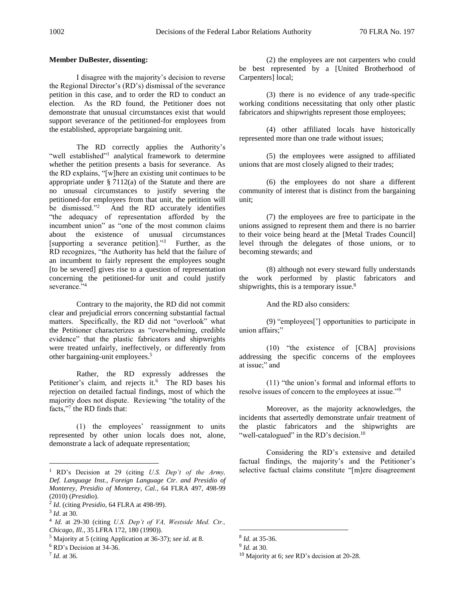### **Member DuBester, dissenting:**

I disagree with the majority's decision to reverse the Regional Director's (RD's) dismissal of the severance petition in this case, and to order the RD to conduct an election. As the RD found, the Petitioner does not demonstrate that unusual circumstances exist that would support severance of the petitioned-for employees from the established, appropriate bargaining unit.

The RD correctly applies the Authority's "well established"<sup>1</sup> analytical framework to determine whether the petition presents a basis for severance. As the RD explains, "[w]here an existing unit continues to be appropriate under  $\S 7112(a)$  of the Statute and there are no unusual circumstances to justify severing the petitioned-for employees from that unit, the petition will be dismissed."<sup>2</sup> And the RD accurately identifies "the adequacy of representation afforded by the incumbent union" as "one of the most common claims about the existence of unusual circumstances [supporting a severance petition]."<sup>3</sup> Further, as the RD recognizes, "the Authority has held that the failure of an incumbent to fairly represent the employees sought [to be severed] gives rise to a question of representation concerning the petitioned-for unit and could justify severance."<sup>4</sup>

Contrary to the majority, the RD did not commit clear and prejudicial errors concerning substantial factual matters. Specifically, the RD did not "overlook" what the Petitioner characterizes as "overwhelming, credible evidence" that the plastic fabricators and shipwrights were treated unfairly, ineffectively, or differently from other bargaining-unit employees.<sup>5</sup>

Rather, the RD expressly addresses the Petitioner's claim, and rejects it.<sup>6</sup> The RD bases his rejection on detailed factual findings, most of which the majority does not dispute. Reviewing "the totality of the facts,"<sup>7</sup> the RD finds that:

(1) the employees' reassignment to units represented by other union locals does not, alone, demonstrate a lack of adequate representation;

 $\overline{a}$ 

(2) the employees are not carpenters who could be best represented by a [United Brotherhood of Carpenters] local;

(3) there is no evidence of any trade-specific working conditions necessitating that only other plastic fabricators and shipwrights represent those employees;

(4) other affiliated locals have historically represented more than one trade without issues;

(5) the employees were assigned to affiliated unions that are most closely aligned to their trades;

(6) the employees do not share a different community of interest that is distinct from the bargaining unit;

(7) the employees are free to participate in the unions assigned to represent them and there is no barrier to their voice being heard at the [Metal Trades Council] level through the delegates of those unions, or to becoming stewards; and

(8) although not every steward fully understands the work performed by plastic fabricators and shipwrights, this is a temporary issue.<sup>8</sup>

And the RD also considers:

(9) "employees['] opportunities to participate in union affairs;"

(10) "the existence of [CBA] provisions addressing the specific concerns of the employees at issue;" and

(11) "the union's formal and informal efforts to resolve issues of concern to the employees at issue."<sup>9</sup>

Moreover, as the majority acknowledges, the incidents that assertedly demonstrate unfair treatment of the plastic fabricators and the shipwrights are "well-catalogued" in the RD's decision.<sup>10</sup>

Considering the RD's extensive and detailed factual findings, the majority's and the Petitioner's selective factual claims constitute "[m]ere disagreement

<sup>1</sup> RD's Decision at 29 (citing *U.S. Dep't of the Army, Def. Language Inst., Foreign Language Ctr. and Presidio of Monterey, Presidio of Monterey, Cal.*, 64 FLRA 497, 498-99 (2010) (*Presidio*).

<sup>2</sup> *Id.* (citing *Presidio*, 64 FLRA at 498-99).

<sup>3</sup> *Id.* at 30.

<sup>4</sup> *Id.* at 29-30 (citing *U.S. Dep't of VA, Westside Med. Ctr., Chicago, Ill.*, 35 LFRA 172, 180 (1990)).

<sup>5</sup> Majority at 5 (citing Application at 36-37); *see id.* at 8.

<sup>6</sup> RD's Decision at 34-36.

<sup>7</sup> *Id.* at 36.

<sup>8</sup> *Id.* at 35-36.

<sup>9</sup> *Id.* at 30.

<sup>10</sup> Majority at 6; *see* RD's decision at 20-28.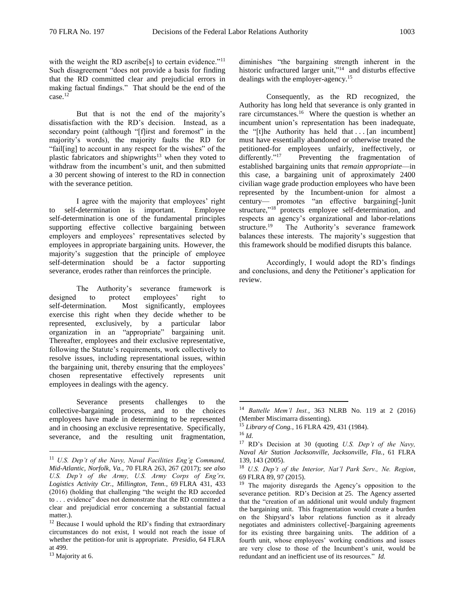with the weight the RD ascribe[s] to certain evidence."<sup>11</sup> Such disagreement "does not provide a basis for finding that the RD committed clear and prejudicial errors in making factual findings." That should be the end of the case.<sup>12</sup>

But that is not the end of the majority's dissatisfaction with the RD's decision. Instead, as a secondary point (although "[f]irst and foremost" in the majority's words), the majority faults the RD for "fail[ing] to account in any respect for the wishes" of the plastic fabricators and shipwrights<sup>13</sup> when they voted to withdraw from the incumbent's unit, and then submitted a 30 percent showing of interest to the RD in connection with the severance petition.

I agree with the majority that employees' right to self-determination is important. Employee self-determination is one of the fundamental principles supporting effective collective bargaining between employers and employees' representatives selected by employees in appropriate bargaining units. However, the majority's suggestion that the principle of employee self-determination should be a factor supporting severance, erodes rather than reinforces the principle.

The Authority's severance framework is designed to protect employees' right to self-determination. Most significantly, employees exercise this right when they decide whether to be represented, exclusively, by a particular labor organization in an "appropriate" bargaining unit. Thereafter, employees and their exclusive representative, following the Statute's requirements, work collectively to resolve issues, including representational issues, within the bargaining unit, thereby ensuring that the employees' chosen representative effectively represents unit employees in dealings with the agency.

Severance presents challenges to the collective-bargaining process, and to the choices employees have made in determining to be represented and in choosing an exclusive representative. Specifically, severance, and the resulting unit fragmentation,

 $\overline{a}$ 

diminishes "the bargaining strength inherent in the historic unfractured larger unit,"<sup>14</sup> and disturbs effective dealings with the employer-agency.<sup>15</sup>

Consequently, as the RD recognized, the Authority has long held that severance is only granted in rare circumstances.<sup>16</sup> Where the question is whether an incumbent union's representation has been inadequate, the " $[t]$ he Authority has held that ...  $[an$  incumbent] must have essentially abandoned or otherwise treated the petitioned-for employees unfairly, ineffectively, or differently."<sup>17</sup> Preventing the fragmentation of established bargaining units that *remain appropriate*—in this case, a bargaining unit of approximately 2400 civilian wage grade production employees who have been represented by the Incumbent-union for almost a century— promotes "an effective bargaining[-]unit structure,"<sup>18</sup> protects employee self-determination, and respects an agency's organizational and labor-relations structure.<sup>19</sup> The Authority's severance framework balances these interests. The majority's suggestion that this framework should be modified disrupts this balance.

Accordingly, I would adopt the RD's findings and conclusions, and deny the Petitioner's application for review.

<sup>11</sup> *U.S. Dep't of the Navy, Naval Facilities Eng'g Command, Mid-Atlantic, Norfolk, Va.*, 70 FLRA 263, 267 (2017); *see also U.S. Dep't of the Army, U.S. Army Corps of Eng'rs, Logistics Activity Ctr., Millington, Tenn.*, 69 FLRA 431, 433 (2016) (holding that challenging "the weight the RD accorded to . . . evidence" does not demonstrate that the RD committed a clear and prejudicial error concerning a substantial factual matter.).

 $12$  Because I would uphold the RD's finding that extraordinary circumstances do not exist, I would not reach the issue of whether the petition-for unit is appropriate. *Presidio*, 64 FLRA at 499.

<sup>&</sup>lt;sup>13</sup> Majority at 6.

<sup>14</sup> *Battelle Mem'l Inst.*, 363 NLRB No. 119 at 2 (2016) (Member Miscimarra dissenting).

<sup>15</sup> *Library of Cong.*, 16 FLRA 429, 431 (1984).

<sup>16</sup> *Id.*

<sup>17</sup> RD's Decision at 30 (quoting *U.S. Dep't of the Navy, Naval Air Station Jacksonville, Jacksonville, Fla.*, 61 FLRA 139, 143 (2005).

<sup>18</sup> *U.S. Dep't of the Interior, Nat'l Park Serv., Ne. Region*, 69 FLRA 89, 97 (2015).

<sup>&</sup>lt;sup>19</sup> The majority disregards the Agency's opposition to the severance petition. RD's Decision at 25. The Agency asserted that the "creation of an additional unit would unduly fragment the bargaining unit. This fragmentation would create a burden on the Shipyard's labor relations function as it already negotiates and administers collective[-]bargaining agreements for its existing three bargaining units. The addition of a fourth unit, whose employees' working conditions and issues are very close to those of the Incumbent's unit, would be redundant and an inefficient use of its resources." *Id.*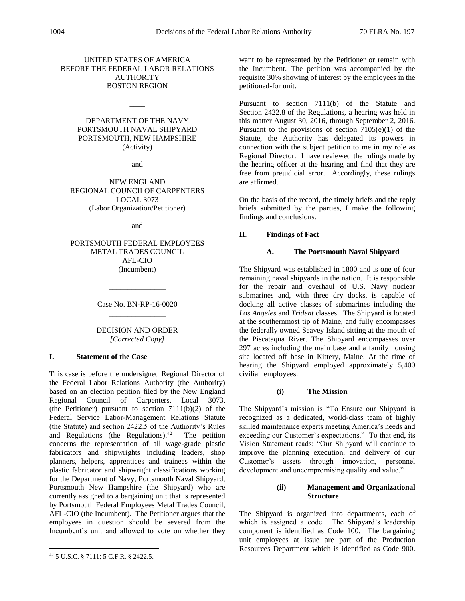# UNITED STATES OF AMERICA BEFORE THE FEDERAL LABOR RELATIONS **AUTHORITY** BOSTON REGION

# DEPARTMENT OF THE NAVY PORTSMOUTH NAVAL SHIPYARD PORTSMOUTH, NEW HAMPSHIRE (Activity)

**\_\_\_\_**

and

NEW ENGLAND REGIONAL COUNCILOF CARPENTERS LOCAL 3073 (Labor Organization/Petitioner)

and

PORTSMOUTH FEDERAL EMPLOYEES METAL TRADES COUNCIL AFL-CIO (Incumbent)

> Case No. BN-RP-16-0020 \_\_\_\_\_\_\_\_\_\_\_\_\_\_\_

\_\_\_\_\_\_\_\_\_\_\_\_\_\_\_

# DECISION AND ORDER *[Corrected Copy]*

# **I. Statement of the Case**

This case is before the undersigned Regional Director of the Federal Labor Relations Authority (the Authority) based on an election petition filed by the New England Regional Council of Carpenters, Local 3073, (the Petitioner) pursuant to section  $7111(b)(2)$  of the Federal Service Labor-Management Relations Statute (the Statute) and section 2422.5 of the Authority's Rules and Regulations (the Regulations). $42$  The petition concerns the representation of all wage-grade plastic fabricators and shipwrights including leaders, shop planners, helpers, apprentices and trainees within the plastic fabricator and shipwright classifications working for the Department of Navy, Portsmouth Naval Shipyard, Portsmouth New Hampshire (the Shipyard) who are currently assigned to a bargaining unit that is represented by Portsmouth Federal Employees Metal Trades Council, AFL-CIO (the Incumbent). The Petitioner argues that the employees in question should be severed from the Incumbent's unit and allowed to vote on whether they

 $\overline{a}$ 

want to be represented by the Petitioner or remain with the Incumbent. The petition was accompanied by the requisite 30% showing of interest by the employees in the petitioned-for unit.

Pursuant to section 7111(b) of the Statute and Section 2422.8 of the Regulations, a hearing was held in this matter August 30, 2016, through September 2, 2016. Pursuant to the provisions of section  $7105(e)(1)$  of the Statute, the Authority has delegated its powers in connection with the subject petition to me in my role as Regional Director. I have reviewed the rulings made by the hearing officer at the hearing and find that they are free from prejudicial error. Accordingly, these rulings are affirmed.

On the basis of the record, the timely briefs and the reply briefs submitted by the parties, I make the following findings and conclusions.

# **II**. **Findings of Fact**

# **A. The Portsmouth Naval Shipyard**

The Shipyard was established in 1800 and is one of four remaining naval shipyards in the nation. It is responsible for the repair and overhaul of U.S. Navy nuclear submarines and, with three dry docks, is capable of docking all active classes of submarines including the *Los Angeles* and *Trident* classes. The Shipyard is located at the southernmost tip of Maine, and fully encompasses the federally owned Seavey Island sitting at the mouth of the Piscataqua River. The Shipyard encompasses over 297 acres including the main base and a family housing site located off base in Kittery, Maine. At the time of hearing the Shipyard employed approximately 5,400 civilian employees.

# **(i) The Mission**

The Shipyard's mission is "To Ensure our Shipyard is recognized as a dedicated, world-class team of highly skilled maintenance experts meeting America's needs and exceeding our Customer's expectations." To that end, its Vision Statement reads: "Our Shipyard will continue to improve the planning execution, and delivery of our Customer's assets through innovation, personnel development and uncompromising quality and value."

## **(ii) Management and Organizational Structure**

The Shipyard is organized into departments, each of which is assigned a code. The Shipyard's leadership component is identified as Code 100. The bargaining unit employees at issue are part of the Production Resources Department which is identified as Code 900.

<sup>42</sup> 5 U.S.C. § 7111; 5 C.F.R. § 2422.5.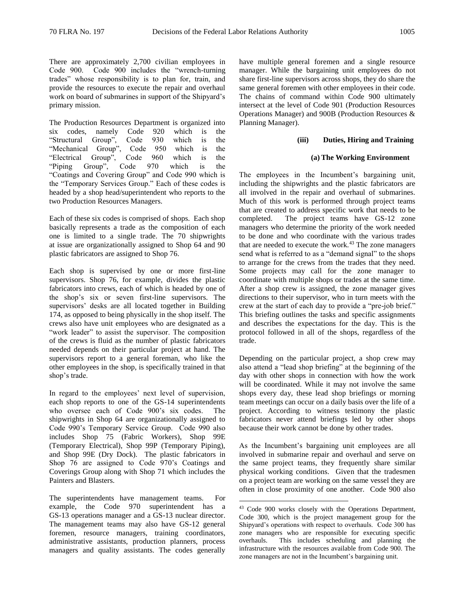There are approximately 2,700 civilian employees in Code 900. Code 900 includes the "wrench-turning trades" whose responsibility is to plan for, train, and provide the resources to execute the repair and overhaul work on board of submarines in support of the Shipyard's primary mission.

The Production Resources Department is organized into six codes, namely Code 920 which is the "Structural Group", Code 930 which is the "Mechanical Group", Code 950 which is the "Electrical Group", Code 960 which is the "Piping Group", Code 970 which is the "Coatings and Covering Group" and Code 990 which is the "Temporary Services Group." Each of these codes is headed by a shop head/superintendent who reports to the two Production Resources Managers.

Each of these six codes is comprised of shops. Each shop basically represents a trade as the composition of each one is limited to a single trade. The 70 shipwrights at issue are organizationally assigned to Shop 64 and 90 plastic fabricators are assigned to Shop 76.

Each shop is supervised by one or more first-line supervisors. Shop 76, for example, divides the plastic fabricators into crews, each of which is headed by one of the shop's six or seven first-line supervisors. The supervisors' desks are all located together in Building 174, as opposed to being physically in the shop itself. The crews also have unit employees who are designated as a "work leader" to assist the supervisor. The composition of the crews is fluid as the number of plastic fabricators needed depends on their particular project at hand. The supervisors report to a general foreman, who like the other employees in the shop, is specifically trained in that shop's trade.

In regard to the employees' next level of supervision, each shop reports to one of the GS-14 superintendents who oversee each of Code 900's six codes. The shipwrights in Shop 64 are organizationally assigned to Code 990's Temporary Service Group. Code 990 also includes Shop 75 (Fabric Workers), Shop 99E (Temporary Electrical), Shop 99P (Temporary Piping), and Shop 99E (Dry Dock). The plastic fabricators in Shop 76 are assigned to Code 970's Coatings and Coverings Group along with Shop 71 which includes the Painters and Blasters.

The superintendents have management teams. For example, the Code 970 superintendent has a GS-13 operations manager and a GS-13 nuclear director. The management teams may also have GS-12 general foremen, resource managers, training coordinators, administrative assistants, production planners, process managers and quality assistants. The codes generally have multiple general foremen and a single resource manager. While the bargaining unit employees do not share first-line supervisors across shops, they do share the same general foremen with other employees in their code. The chains of command within Code 900 ultimately intersect at the level of Code 901 (Production Resources Operations Manager) and 900B (Production Resources & Planning Manager).

### **(iii) Duties, Hiring and Training**

### **(a) The Working Environment**

The employees in the Incumbent's bargaining unit, including the shipwrights and the plastic fabricators are all involved in the repair and overhaul of submarines. Much of this work is performed through project teams that are created to address specific work that needs to be completed. The project teams have GS-12 zone managers who determine the priority of the work needed to be done and who coordinate with the various trades that are needed to execute the work.<sup>43</sup> The zone managers send what is referred to as a "demand signal" to the shops to arrange for the crews from the trades that they need. Some projects may call for the zone manager to coordinate with multiple shops or trades at the same time. After a shop crew is assigned, the zone manager gives directions to their supervisor, who in turn meets with the crew at the start of each day to provide a "pre-job brief." This briefing outlines the tasks and specific assignments and describes the expectations for the day. This is the protocol followed in all of the shops, regardless of the trade.

Depending on the particular project, a shop crew may also attend a "lead shop briefing" at the beginning of the day with other shops in connection with how the work will be coordinated. While it may not involve the same shops every day, these lead shop briefings or morning team meetings can occur on a daily basis over the life of a project. According to witness testimony the plastic fabricators never attend briefings led by other shops because their work cannot be done by other trades.

As the Incumbent's bargaining unit employees are all involved in submarine repair and overhaul and serve on the same project teams, they frequently share similar physical working conditions. Given that the tradesmen on a project team are working on the same vessel they are often in close proximity of one another. Code 900 also

<sup>&</sup>lt;sup>43</sup> Code 900 works closely with the Operations Department, Code 300, which is the project management group for the Shipyard's operations with respect to overhauls. Code 300 has zone managers who are responsible for executing specific overhauls. This includes scheduling and planning the infrastructure with the resources available from Code 900. The zone managers are not in the Incumbent's bargaining unit.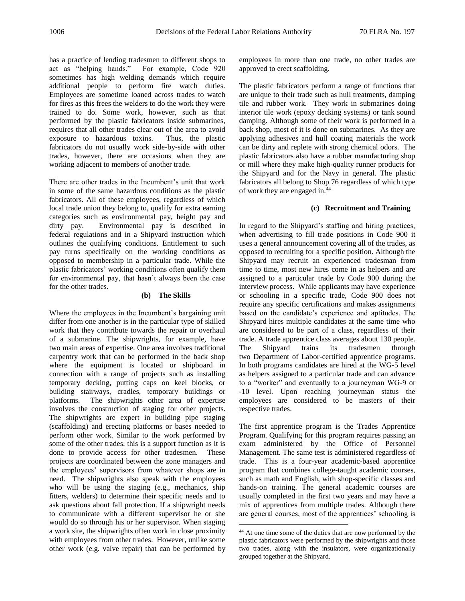has a practice of lending tradesmen to different shops to act as "helping hands." For example, Code 920 sometimes has high welding demands which require additional people to perform fire watch duties. Employees are sometime loaned across trades to watch for fires as this frees the welders to do the work they were trained to do. Some work, however, such as that performed by the plastic fabricators inside submarines, requires that all other trades clear out of the area to avoid exposure to hazardous toxins. Thus, the plastic fabricators do not usually work side-by-side with other trades, however, there are occasions when they are working adjacent to members of another trade.

There are other trades in the Incumbent's unit that work in some of the same hazardous conditions as the plastic fabricators. All of these employees, regardless of which local trade union they belong to, qualify for extra earning categories such as environmental pay, height pay and dirty pay. Environmental pay is described in federal regulations and in a Shipyard instruction which outlines the qualifying conditions. Entitlement to such pay turns specifically on the working conditions as opposed to membership in a particular trade. While the plastic fabricators' working conditions often qualify them for environmental pay, that hasn't always been the case for the other trades.

## **(b) The Skills**

Where the employees in the Incumbent's bargaining unit differ from one another is in the particular type of skilled work that they contribute towards the repair or overhaul of a submarine. The shipwrights, for example, have two main areas of expertise. One area involves traditional carpentry work that can be performed in the back shop where the equipment is located or shipboard in connection with a range of projects such as installing temporary decking, putting caps on keel blocks, or building stairways, cradles, temporary buildings or platforms. The shipwrights other area of expertise involves the construction of staging for other projects. The shipwrights are expert in building pipe staging (scaffolding) and erecting platforms or bases needed to perform other work. Similar to the work performed by some of the other trades, this is a support function as it is done to provide access for other tradesmen. These projects are coordinated between the zone managers and the employees' supervisors from whatever shops are in need. The shipwrights also speak with the employees who will be using the staging (e.g., mechanics, ship fitters, welders) to determine their specific needs and to ask questions about fall protection. If a shipwright needs to communicate with a different supervisor he or she would do so through his or her supervisor. When staging a work site, the shipwrights often work in close proximity with employees from other trades. However, unlike some other work (e.g. valve repair) that can be performed by

employees in more than one trade, no other trades are approved to erect scaffolding.

The plastic fabricators perform a range of functions that are unique to their trade such as hull treatments, damping tile and rubber work. They work in submarines doing interior tile work (epoxy decking systems) or tank sound damping. Although some of their work is performed in a back shop, most of it is done on submarines. As they are applying adhesives and hull coating materials the work can be dirty and replete with strong chemical odors. The plastic fabricators also have a rubber manufacturing shop or mill where they make high-quality runner products for the Shipyard and for the Navy in general. The plastic fabricators all belong to Shop 76 regardless of which type of work they are engaged in.<sup>44</sup>

### **(c) Recruitment and Training**

In regard to the Shipyard's staffing and hiring practices, when advertising to fill trade positions in Code 900 it uses a general announcement covering all of the trades, as opposed to recruiting for a specific position. Although the Shipyard may recruit an experienced tradesman from time to time, most new hires come in as helpers and are assigned to a particular trade by Code 900 during the interview process. While applicants may have experience or schooling in a specific trade, Code 900 does not require any specific certifications and makes assignments based on the candidate's experience and aptitudes. The Shipyard hires multiple candidates at the same time who are considered to be part of a class, regardless of their trade. A trade apprentice class averages about 130 people. The Shipyard trains its tradesmen through two Department of Labor-certified apprentice programs. In both programs candidates are hired at the WG-5 level as helpers assigned to a particular trade and can advance to a "worker" and eventually to a journeyman WG-9 or -10 level. Upon reaching journeyman status the employees are considered to be masters of their respective trades.

The first apprentice program is the Trades Apprentice Program. Qualifying for this program requires passing an exam administered by the Office of Personnel Management. The same test is administered regardless of trade. This is a four-year academic-based apprentice program that combines college-taught academic courses, such as math and English, with shop-specific classes and hands-on training. The general academic courses are usually completed in the first two years and may have a mix of apprentices from multiple trades. Although there are general courses, most of the apprentices' schooling is

<sup>44</sup> At one time some of the duties that are now performed by the plastic fabricators were performed by the shipwrights and those two trades, along with the insulators, were organizationally grouped together at the Shipyard.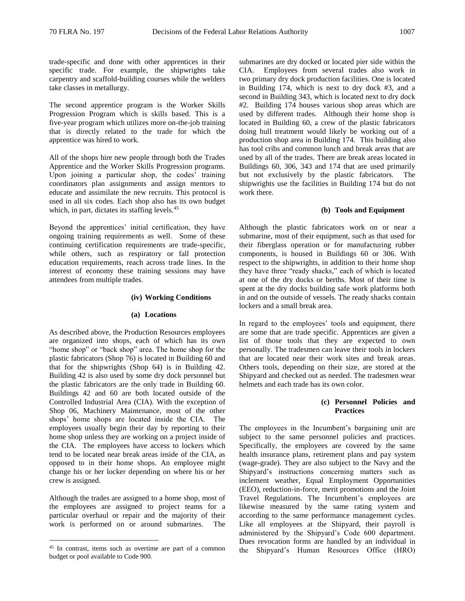trade-specific and done with other apprentices in their specific trade. For example, the shipwrights take carpentry and scaffold-building courses while the welders take classes in metallurgy.

The second apprentice program is the Worker Skills Progression Program which is skills based. This is a five-year program which utilizes more on-the-job training that is directly related to the trade for which the apprentice was hired to work.

All of the shops hire new people through both the Trades Apprentice and the Worker Skills Progression programs. Upon joining a particular shop, the codes' training coordinators plan assignments and assign mentors to educate and assimilate the new recruits. This protocol is used in all six codes. Each shop also has its own budget which, in part, dictates its staffing levels.<sup>45</sup>

Beyond the apprentices' initial certification, they have ongoing training requirements as well. Some of these continuing certification requirements are trade-specific, while others, such as respiratory or fall protection education requirements, reach across trade lines. In the interest of economy these training sessions may have attendees from multiple trades.

### **(iv) Working Conditions**

#### **(a) Locations**

As described above, the Production Resources employees are organized into shops, each of which has its own "home shop" or "back shop" area. The home shop for the plastic fabricators (Shop 76) is located in Building 60 and that for the shipwrights (Shop 64) is in Building 42. Building 42 is also used by some dry dock personnel but the plastic fabricators are the only trade in Building 60. Buildings 42 and 60 are both located outside of the Controlled Industrial Area (CIA). With the exception of Shop 06, Machinery Maintenance, most of the other shops' home shops are located inside the CIA. The employees usually begin their day by reporting to their home shop unless they are working on a project inside of the CIA. The employees have access to lockers which tend to be located near break areas inside of the CIA, as opposed to in their home shops. An employee might change his or her locker depending on where his or her crew is assigned.

Although the trades are assigned to a home shop, most of the employees are assigned to project teams for a particular overhaul or repair and the majority of their work is performed on or around submarines. The

 $\overline{a}$ 

submarines are dry docked or located pier side within the CIA. Employees from several trades also work in two primary dry dock production facilities. One is located in Building 174, which is next to dry dock #3, and a second in Building 343, which is located next to dry dock #2. Building 174 houses various shop areas which are used by different trades. Although their home shop is located in Building 60, a crew of the plastic fabricators doing hull treatment would likely be working out of a production shop area in Building 174. This building also has tool cribs and common lunch and break areas that are used by all of the trades. There are break areas located in Buildings 60, 306, 343 and 174 that are used primarily but not exclusively by the plastic fabricators. The shipwrights use the facilities in Building 174 but do not work there.

### **(b) Tools and Equipment**

Although the plastic fabricators work on or near a submarine, most of their equipment, such as that used for their fiberglass operation or for manufacturing rubber components, is housed in Buildings 60 or 306. With respect to the shipwrights, in addition to their home shop they have three "ready shacks," each of which is located at one of the dry docks or berths. Most of their time is spent at the dry docks building safe work platforms both in and on the outside of vessels. The ready shacks contain lockers and a small break area.

In regard to the employees' tools and equipment, there are some that are trade specific. Apprentices are given a list of those tools that they are expected to own personally. The tradesmen can leave their tools in lockers that are located near their work sites and break areas. Others tools, depending on their size, are stored at the Shipyard and checked out as needed. The tradesmen wear helmets and each trade has its own color.

## **(c) Personnel Policies and Practices**

The employees in the Incumbent's bargaining unit are subject to the same personnel policies and practices. Specifically, the employees are covered by the same health insurance plans, retirement plans and pay system (wage-grade). They are also subject to the Navy and the Shipyard's instructions concerning matters such as inclement weather, Equal Employment Opportunities (EEO), reduction-in-force, merit promotions and the Joint Travel Regulations. The Incumbent's employees are likewise measured by the same rating system and according to the same performance management cycles. Like all employees at the Shipyard, their payroll is administered by the Shipyard's Code 600 department. Dues revocation forms are handled by an individual in the Shipyard's Human Resources Office (HRO)

<sup>45</sup> In contrast, items such as overtime are part of a common budget or pool available to Code 900.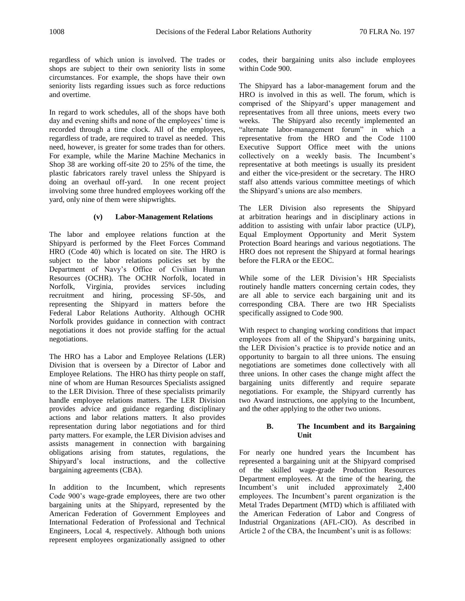regardless of which union is involved. The trades or shops are subject to their own seniority lists in some circumstances. For example, the shops have their own seniority lists regarding issues such as force reductions and overtime.

In regard to work schedules, all of the shops have both day and evening shifts and none of the employees' time is recorded through a time clock. All of the employees, regardless of trade, are required to travel as needed. This need, however, is greater for some trades than for others. For example, while the Marine Machine Mechanics in Shop 38 are working off-site 20 to 25% of the time, the plastic fabricators rarely travel unless the Shipyard is doing an overhaul off-yard. In one recent project involving some three hundred employees working off the yard, only nine of them were shipwrights.

## **(v) Labor-Management Relations**

The labor and employee relations function at the Shipyard is performed by the Fleet Forces Command HRO (Code 40) which is located on site. The HRO is subject to the labor relations policies set by the Department of Navy's Office of Civilian Human Resources (OCHR). The OCHR Norfolk, located in Norfolk, Virginia, provides services including recruitment and hiring, processing SF-50s, and representing the Shipyard in matters before the Federal Labor Relations Authority. Although OCHR Norfolk provides guidance in connection with contract negotiations it does not provide staffing for the actual negotiations.

The HRO has a Labor and Employee Relations (LER) Division that is overseen by a Director of Labor and Employee Relations. The HRO has thirty people on staff, nine of whom are Human Resources Specialists assigned to the LER Division. Three of these specialists primarily handle employee relations matters. The LER Division provides advice and guidance regarding disciplinary actions and labor relations matters. It also provides representation during labor negotiations and for third party matters. For example, the LER Division advises and assists management in connection with bargaining obligations arising from statutes, regulations, the Shipyard's local instructions, and the collective bargaining agreements (CBA).

In addition to the Incumbent, which represents Code 900's wage-grade employees, there are two other bargaining units at the Shipyard, represented by the American Federation of Government Employees and International Federation of Professional and Technical Engineers, Local 4, respectively. Although both unions represent employees organizationally assigned to other

codes, their bargaining units also include employees within Code 900.

The Shipyard has a labor-management forum and the HRO is involved in this as well. The forum, which is comprised of the Shipyard's upper management and representatives from all three unions, meets every two weeks. The Shipyard also recently implemented an "alternate labor-management forum" in which a representative from the HRO and the Code 1100 Executive Support Office meet with the unions collectively on a weekly basis. The Incumbent's representative at both meetings is usually its president and either the vice-president or the secretary. The HRO staff also attends various committee meetings of which the Shipyard's unions are also members.

The LER Division also represents the Shipyard at arbitration hearings and in disciplinary actions in addition to assisting with unfair labor practice (ULP), Equal Employment Opportunity and Merit System Protection Board hearings and various negotiations. The HRO does not represent the Shipyard at formal hearings before the FLRA or the EEOC.

While some of the LER Division's HR Specialists routinely handle matters concerning certain codes, they are all able to service each bargaining unit and its corresponding CBA. There are two HR Specialists specifically assigned to Code 900.

With respect to changing working conditions that impact employees from all of the Shipyard's bargaining units, the LER Division's practice is to provide notice and an opportunity to bargain to all three unions. The ensuing negotiations are sometimes done collectively with all three unions. In other cases the change might affect the bargaining units differently and require separate negotiations. For example, the Shipyard currently has two Award instructions, one applying to the Incumbent, and the other applying to the other two unions.

## **B. The Incumbent and its Bargaining Unit**

For nearly one hundred years the Incumbent has represented a bargaining unit at the Shipyard comprised of the skilled wage-grade Production Resources Department employees. At the time of the hearing, the Incumbent's unit included approximately 2,400 employees. The Incumbent's parent organization is the Metal Trades Department (MTD) which is affiliated with the American Federation of Labor and Congress of Industrial Organizations (AFL-CIO). As described in Article 2 of the CBA, the Incumbent's unit is as follows: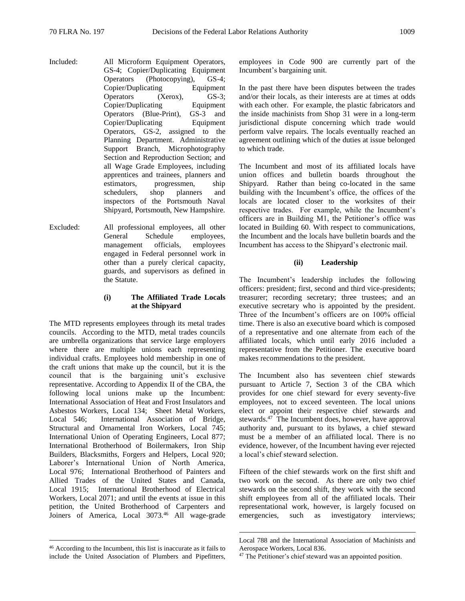Included: All Microform Equipment Operators,

GS-4; Copier/Duplicating Equipment Operators (Photocopying), GS-4; Copier/Duplicating Equipment Operators (Xerox), GS-3; Copier/Duplicating Equipment Operators (Blue-Print), GS-3 and Copier/Duplicating Equipment Operators, GS-2, assigned to the Planning Department. Administrative Support Branch, Microphotography Section and Reproduction Section; and all Wage Grade Employees, including apprentices and trainees, planners and estimators, progressmen, ship schedulers, shop planners and inspectors of the Portsmouth Naval Shipyard, Portsmouth, New Hampshire.

Excluded: All professional employees, all other General Schedule employees, management officials, employees engaged in Federal personnel work in other than a purely clerical capacity, guards, and supervisors as defined in the Statute.

## **(i) The Affiliated Trade Locals at the Shipyard**

The MTD represents employees through its metal trades councils. According to the MTD, metal trades councils are umbrella organizations that service large employers where there are multiple unions each representing individual crafts. Employees hold membership in one of the craft unions that make up the council, but it is the council that is the bargaining unit's exclusive representative. According to Appendix II of the CBA, the following local unions make up the Incumbent: International Association of Heat and Frost Insulators and Asbestos Workers, Local 134; Sheet Metal Workers, Local 546; International Association of Bridge, Structural and Ornamental Iron Workers, Local 745; International Union of Operating Engineers, Local 877; International Brotherhood of Boilermakers, Iron Ship Builders, Blacksmiths, Forgers and Helpers, Local 920; Laborer's International Union of North America, Local 976; International Brotherhood of Painters and Allied Trades of the United States and Canada, Local 1915; International Brotherhood of Electrical Workers, Local 2071; and until the events at issue in this petition, the United Brotherhood of Carpenters and Joiners of America, Local 3073.<sup>46</sup> All wage-grade

 $\overline{a}$ 

employees in Code 900 are currently part of the Incumbent's bargaining unit.

In the past there have been disputes between the trades and/or their locals, as their interests are at times at odds with each other. For example, the plastic fabricators and the inside machinists from Shop 31 were in a long-term jurisdictional dispute concerning which trade would perform valve repairs. The locals eventually reached an agreement outlining which of the duties at issue belonged to which trade.

The Incumbent and most of its affiliated locals have union offices and bulletin boards throughout the Shipyard. Rather than being co-located in the same building with the Incumbent's office, the offices of the locals are located closer to the worksites of their respective trades. For example, while the Incumbent's officers are in Building M1, the Petitioner's office was located in Building 60. With respect to communications, the Incumbent and the locals have bulletin boards and the Incumbent has access to the Shipyard's electronic mail.

## **(ii) Leadership**

The Incumbent's leadership includes the following officers: president; first, second and third vice-presidents; treasurer; recording secretary; three trustees; and an executive secretary who is appointed by the president. Three of the Incumbent's officers are on 100% official time. There is also an executive board which is composed of a representative and one alternate from each of the affiliated locals, which until early 2016 included a representative from the Petitioner. The executive board makes recommendations to the president.

The Incumbent also has seventeen chief stewards pursuant to Article 7, Section 3 of the CBA which provides for one chief steward for every seventy-five employees, not to exceed seventeen. The local unions elect or appoint their respective chief stewards and stewards.<sup>47</sup> The Incumbent does, however, have approval authority and, pursuant to its bylaws, a chief steward must be a member of an affiliated local. There is no evidence, however, of the Incumbent having ever rejected a local's chief steward selection.

Fifteen of the chief stewards work on the first shift and two work on the second. As there are only two chief stewards on the second shift, they work with the second shift employees from all of the affiliated locals. Their representational work, however, is largely focused on emergencies, such as investigatory interviews;

<sup>46</sup> According to the Incumbent, this list is inaccurate as it fails to include the United Association of Plumbers and Pipefitters,

Local 788 and the International Association of Machinists and Aerospace Workers, Local 836.

<sup>&</sup>lt;sup>47</sup> The Petitioner's chief steward was an appointed position.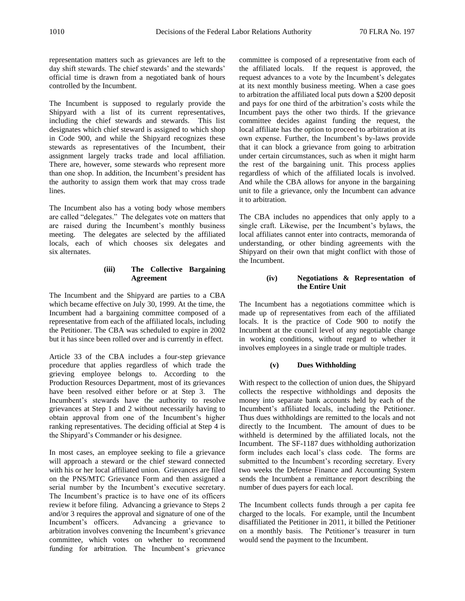representation matters such as grievances are left to the day shift stewards. The chief stewards' and the stewards' official time is drawn from a negotiated bank of hours controlled by the Incumbent.

The Incumbent is supposed to regularly provide the Shipyard with a list of its current representatives, including the chief stewards and stewards. This list designates which chief steward is assigned to which shop in Code 900, and while the Shipyard recognizes these stewards as representatives of the Incumbent, their assignment largely tracks trade and local affiliation. There are, however, some stewards who represent more than one shop. In addition, the Incumbent's president has the authority to assign them work that may cross trade lines.

The Incumbent also has a voting body whose members are called "delegates." The delegates vote on matters that are raised during the Incumbent's monthly business meeting. The delegates are selected by the affiliated locals, each of which chooses six delegates and six alternates.

# **(iii) The Collective Bargaining Agreement**

The Incumbent and the Shipyard are parties to a CBA which became effective on July 30, 1999. At the time, the Incumbent had a bargaining committee composed of a representative from each of the affiliated locals, including the Petitioner. The CBA was scheduled to expire in 2002 but it has since been rolled over and is currently in effect.

Article 33 of the CBA includes a four-step grievance procedure that applies regardless of which trade the grieving employee belongs to. According to the Production Resources Department, most of its grievances have been resolved either before or at Step 3. The Incumbent's stewards have the authority to resolve grievances at Step 1 and 2 without necessarily having to obtain approval from one of the Incumbent's higher ranking representatives. The deciding official at Step 4 is the Shipyard's Commander or his designee.

In most cases, an employee seeking to file a grievance will approach a steward or the chief steward connected with his or her local affiliated union. Grievances are filed on the PNS/MTC Grievance Form and then assigned a serial number by the Incumbent's executive secretary. The Incumbent's practice is to have one of its officers review it before filing. Advancing a grievance to Steps 2 and/or 3 requires the approval and signature of one of the Incumbent's officers. Advancing a grievance to arbitration involves convening the Incumbent's grievance committee, which votes on whether to recommend funding for arbitration. The Incumbent's grievance

committee is composed of a representative from each of the affiliated locals. If the request is approved, the request advances to a vote by the Incumbent's delegates at its next monthly business meeting. When a case goes to arbitration the affiliated local puts down a \$200 deposit and pays for one third of the arbitration's costs while the Incumbent pays the other two thirds. If the grievance committee decides against funding the request, the local affiliate has the option to proceed to arbitration at its own expense. Further, the Incumbent's by-laws provide that it can block a grievance from going to arbitration under certain circumstances, such as when it might harm the rest of the bargaining unit. This process applies regardless of which of the affiliated locals is involved. And while the CBA allows for anyone in the bargaining unit to file a grievance, only the Incumbent can advance it to arbitration.

The CBA includes no appendices that only apply to a single craft. Likewise, per the Incumbent's bylaws, the local affiliates cannot enter into contracts, memoranda of understanding, or other binding agreements with the Shipyard on their own that might conflict with those of the Incumbent.

# **(iv) Negotiations & Representation of the Entire Unit**

The Incumbent has a negotiations committee which is made up of representatives from each of the affiliated locals. It is the practice of Code 900 to notify the Incumbent at the council level of any negotiable change in working conditions, without regard to whether it involves employees in a single trade or multiple trades.

# **(v) Dues Withholding**

With respect to the collection of union dues, the Shipyard collects the respective withholdings and deposits the money into separate bank accounts held by each of the Incumbent's affiliated locals, including the Petitioner. Thus dues withholdings are remitted to the locals and not directly to the Incumbent. The amount of dues to be withheld is determined by the affiliated locals, not the Incumbent. The SF-1187 dues withholding authorization form includes each local's class code. The forms are submitted to the Incumbent's recording secretary. Every two weeks the Defense Finance and Accounting System sends the Incumbent a remittance report describing the number of dues payers for each local.

The Incumbent collects funds through a per capita fee charged to the locals. For example, until the Incumbent disaffiliated the Petitioner in 2011, it billed the Petitioner on a monthly basis. The Petitioner's treasurer in turn would send the payment to the Incumbent.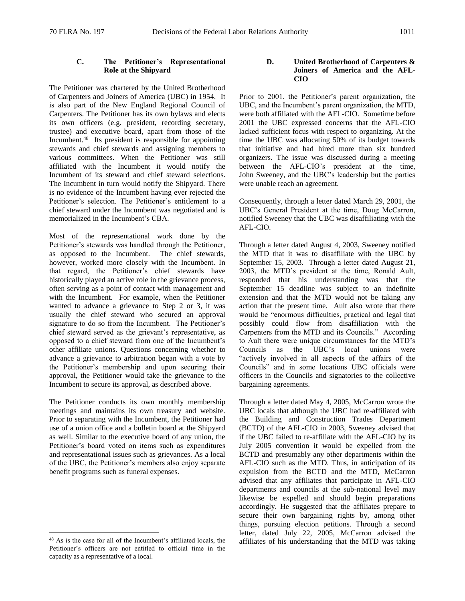# **C. The Petitioner's Representational Role at the Shipyard**

The Petitioner was chartered by the United Brotherhood of Carpenters and Joiners of America (UBC) in 1954. It is also part of the New England Regional Council of Carpenters. The Petitioner has its own bylaws and elects its own officers (e.g. president, recording secretary, trustee) and executive board, apart from those of the Incumbent.<sup>48</sup> Its president is responsible for appointing stewards and chief stewards and assigning members to various committees. When the Petitioner was still affiliated with the Incumbent it would notify the Incumbent of its steward and chief steward selections. The Incumbent in turn would notify the Shipyard. There is no evidence of the Incumbent having ever rejected the Petitioner's selection. The Petitioner's entitlement to a chief steward under the Incumbent was negotiated and is memorialized in the Incumbent's CBA.

Most of the representational work done by the Petitioner's stewards was handled through the Petitioner, as opposed to the Incumbent. The chief stewards, however, worked more closely with the Incumbent. In that regard, the Petitioner's chief stewards have historically played an active role in the grievance process, often serving as a point of contact with management and with the Incumbent. For example, when the Petitioner wanted to advance a grievance to Step 2 or 3, it was usually the chief steward who secured an approval signature to do so from the Incumbent. The Petitioner's chief steward served as the grievant's representative, as opposed to a chief steward from one of the Incumbent's other affiliate unions. Questions concerning whether to advance a grievance to arbitration began with a vote by the Petitioner's membership and upon securing their approval, the Petitioner would take the grievance to the Incumbent to secure its approval, as described above.

The Petitioner conducts its own monthly membership meetings and maintains its own treasury and website. Prior to separating with the Incumbent, the Petitioner had use of a union office and a bulletin board at the Shipyard as well. Similar to the executive board of any union, the Petitioner's board voted on items such as expenditures and representational issues such as grievances. As a local of the UBC, the Petitioner's members also enjoy separate benefit programs such as funeral expenses.

 $\overline{a}$ 

## **D. United Brotherhood of Carpenters & Joiners of America and the AFL-CIO**

Prior to 2001, the Petitioner's parent organization, the UBC, and the Incumbent's parent organization, the MTD, were both affiliated with the AFL-CIO. Sometime before 2001 the UBC expressed concerns that the AFL-CIO lacked sufficient focus with respect to organizing. At the time the UBC was allocating 50% of its budget towards that initiative and had hired more than six hundred organizers. The issue was discussed during a meeting between the AFL-CIO's president at the time, John Sweeney, and the UBC's leadership but the parties were unable reach an agreement.

Consequently, through a letter dated March 29, 2001, the UBC's General President at the time, Doug McCarron, notified Sweeney that the UBC was disaffiliating with the AFL-CIO.

Through a letter dated August 4, 2003, Sweeney notified the MTD that it was to disaffiliate with the UBC by September 15, 2003. Through a letter dated August 21, 2003, the MTD's president at the time, Ronald Ault, responded that his understanding was that the September 15 deadline was subject to an indefinite extension and that the MTD would not be taking any action that the present time. Ault also wrote that there would be "enormous difficulties, practical and legal that possibly could flow from disaffiliation with the Carpenters from the MTD and its Councils." According to Ault there were unique circumstances for the MTD's Councils as the UBC's local unions were "actively involved in all aspects of the affairs of the Councils" and in some locations UBC officials were officers in the Councils and signatories to the collective bargaining agreements.

Through a letter dated May 4, 2005, McCarron wrote the UBC locals that although the UBC had re-affiliated with the Building and Construction Trades Department (BCTD) of the AFL-CIO in 2003, Sweeney advised that if the UBC failed to re-affiliate with the AFL-CIO by its July 2005 convention it would be expelled from the BCTD and presumably any other departments within the AFL-CIO such as the MTD. Thus, in anticipation of its expulsion from the BCTD and the MTD, McCarron advised that any affiliates that participate in AFL-CIO departments and councils at the sub-national level may likewise be expelled and should begin preparations accordingly. He suggested that the affiliates prepare to secure their own bargaining rights by, among other things, pursuing election petitions. Through a second letter, dated July 22, 2005, McCarron advised the affiliates of his understanding that the MTD was taking

<sup>48</sup> As is the case for all of the Incumbent's affiliated locals, the Petitioner's officers are not entitled to official time in the capacity as a representative of a local.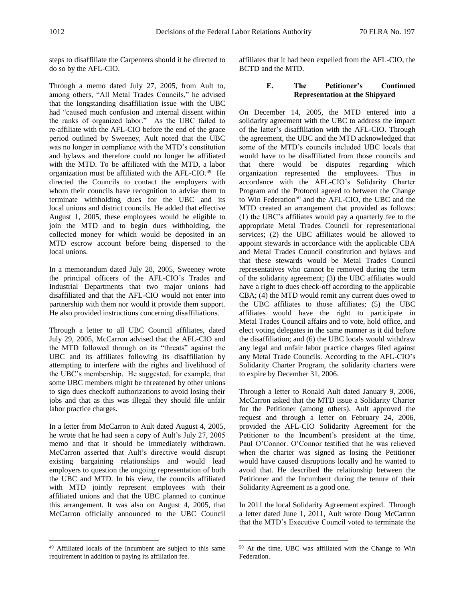steps to disaffiliate the Carpenters should it be directed to do so by the AFL-CIO.

Through a memo dated July 27, 2005, from Ault to, among others, "All Metal Trades Councils," he advised that the longstanding disaffiliation issue with the UBC had "caused much confusion and internal dissent within the ranks of organized labor." As the UBC failed to re-affiliate with the AFL-CIO before the end of the grace period outlined by Sweeney, Ault noted that the UBC was no longer in compliance with the MTD's constitution and bylaws and therefore could no longer be affiliated with the MTD. To be affiliated with the MTD, a labor organization must be affiliated with the  $AFL-ClO<sup>49</sup>$  He directed the Councils to contact the employers with whom their councils have recognition to advise them to terminate withholding dues for the UBC and its local unions and district councils. He added that effective August 1, 2005, these employees would be eligible to join the MTD and to begin dues withholding, the collected money for which would be deposited in an MTD escrow account before being dispersed to the local unions.

In a memorandum dated July 28, 2005, Sweeney wrote the principal officers of the AFL-CIO's Trades and Industrial Departments that two major unions had disaffiliated and that the AFL-CIO would not enter into partnership with them nor would it provide them support. He also provided instructions concerning disaffiliations.

Through a letter to all UBC Council affiliates, dated July 29, 2005, McCarron advised that the AFL-CIO and the MTD followed through on its "threats" against the UBC and its affiliates following its disaffiliation by attempting to interfere with the rights and livelihood of the UBC's membership. He suggested, for example, that some UBC members might be threatened by other unions to sign dues checkoff authorizations to avoid losing their jobs and that as this was illegal they should file unfair labor practice charges.

In a letter from McCarron to Ault dated August 4, 2005, he wrote that he had seen a copy of Ault's July 27, 2005 memo and that it should be immediately withdrawn. McCarron asserted that Ault's directive would disrupt existing bargaining relationships and would lead employers to question the ongoing representation of both the UBC and MTD. In his view, the councils affiliated with MTD jointly represent employees with their affiliated unions and that the UBC planned to continue this arrangement. It was also on August 4, 2005, that McCarron officially announced to the UBC Council

 $\overline{a}$ 

affiliates that it had been expelled from the AFL-CIO, the BCTD and the MTD.

# **E. The Petitioner's Continued Representation at the Shipyard**

On December 14, 2005, the MTD entered into a solidarity agreement with the UBC to address the impact of the latter's disaffiliation with the AFL-CIO. Through the agreement, the UBC and the MTD acknowledged that some of the MTD's councils included UBC locals that would have to be disaffiliated from those councils and that there would be disputes regarding which organization represented the employees. Thus in accordance with the AFL-CIO's Solidarity Charter Program and the Protocol agreed to between the Change to Win Federation<sup>50</sup> and the AFL-CIO, the UBC and the MTD created an arrangement that provided as follows: (1) the UBC's affiliates would pay a quarterly fee to the appropriate Metal Trades Council for representational services; (2) the UBC affiliates would be allowed to appoint stewards in accordance with the applicable CBA and Metal Trades Council constitution and bylaws and that these stewards would be Metal Trades Council representatives who cannot be removed during the term of the solidarity agreement; (3) the UBC affiliates would have a right to dues check-off according to the applicable CBA; (4) the MTD would remit any current dues owed to the UBC affiliates to those affiliates; (5) the UBC affiliates would have the right to participate in Metal Trades Council affairs and to vote, hold office, and elect voting delegates in the same manner as it did before the disaffiliation; and (6) the UBC locals would withdraw any legal and unfair labor practice charges filed against any Metal Trade Councils. According to the AFL-CIO's Solidarity Charter Program, the solidarity charters were to expire by December 31, 2006.

Through a letter to Ronald Ault dated January 9, 2006, McCarron asked that the MTD issue a Solidarity Charter for the Petitioner (among others). Ault approved the request and through a letter on February 24, 2006, provided the AFL-CIO Solidarity Agreement for the Petitioner to the Incumbent's president at the time, Paul O'Connor. O'Connor testified that he was relieved when the charter was signed as losing the Petitioner would have caused disruptions locally and he wanted to avoid that. He described the relationship between the Petitioner and the Incumbent during the tenure of their Solidarity Agreement as a good one.

In 2011 the local Solidarity Agreement expired. Through a letter dated June 1, 2011, Ault wrote Doug McCarron that the MTD's Executive Council voted to terminate the

<sup>&</sup>lt;sup>49</sup> Affiliated locals of the Incumbent are subject to this same requirement in addition to paying its affiliation fee.

<sup>50</sup> At the time, UBC was affiliated with the Change to Win Federation.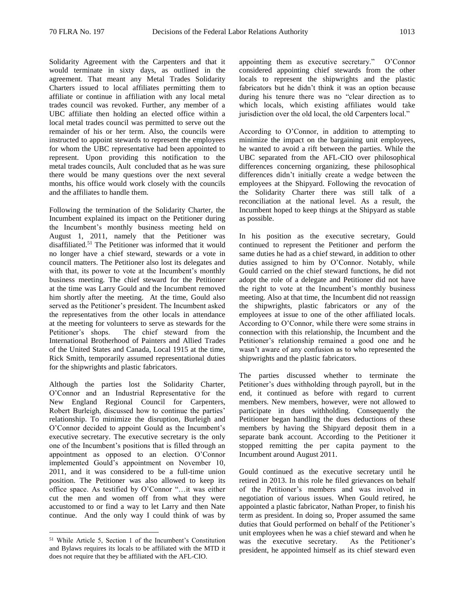Solidarity Agreement with the Carpenters and that it would terminate in sixty days, as outlined in the agreement. That meant any Metal Trades Solidarity Charters issued to local affiliates permitting them to affiliate or continue in affiliation with any local metal trades council was revoked. Further, any member of a UBC affiliate then holding an elected office within a local metal trades council was permitted to serve out the remainder of his or her term. Also, the councils were instructed to appoint stewards to represent the employees for whom the UBC representative had been appointed to represent. Upon providing this notification to the metal trades councils, Ault concluded that as he was sure there would be many questions over the next several months, his office would work closely with the councils and the affiliates to handle them.

Following the termination of the Solidarity Charter, the Incumbent explained its impact on the Petitioner during the Incumbent's monthly business meeting held on August 1, 2011, namely that the Petitioner was disaffiliated.<sup>51</sup> The Petitioner was informed that it would no longer have a chief steward, stewards or a vote in council matters. The Petitioner also lost its delegates and with that, its power to vote at the Incumbent's monthly business meeting. The chief steward for the Petitioner at the time was Larry Gould and the Incumbent removed him shortly after the meeting. At the time, Gould also served as the Petitioner's president. The Incumbent asked the representatives from the other locals in attendance at the meeting for volunteers to serve as stewards for the Petitioner's shops. The chief steward from the International Brotherhood of Painters and Allied Trades of the United States and Canada, Local 1915 at the time, Rick Smith, temporarily assumed representational duties for the shipwrights and plastic fabricators.

Although the parties lost the Solidarity Charter, O'Connor and an Industrial Representative for the New England Regional Council for Carpenters, Robert Burleigh, discussed how to continue the parties' relationship. To minimize the disruption, Burleigh and O'Connor decided to appoint Gould as the Incumbent's executive secretary. The executive secretary is the only one of the Incumbent's positions that is filled through an appointment as opposed to an election. O'Connor implemented Gould's appointment on November 10, 2011, and it was considered to be a full-time union position. The Petitioner was also allowed to keep its office space. As testified by O'Connor "…it was either cut the men and women off from what they were accustomed to or find a way to let Larry and then Nate continue. And the only way I could think of was by

 $\overline{a}$ 

appointing them as executive secretary." O'Connor considered appointing chief stewards from the other locals to represent the shipwrights and the plastic fabricators but he didn't think it was an option because during his tenure there was no "clear direction as to which locals, which existing affiliates would take jurisdiction over the old local, the old Carpenters local."

According to O'Connor, in addition to attempting to minimize the impact on the bargaining unit employees, he wanted to avoid a rift between the parties. While the UBC separated from the AFL-CIO over philosophical differences concerning organizing, these philosophical differences didn't initially create a wedge between the employees at the Shipyard. Following the revocation of the Solidarity Charter there was still talk of a reconciliation at the national level. As a result, the Incumbent hoped to keep things at the Shipyard as stable as possible.

In his position as the executive secretary, Gould continued to represent the Petitioner and perform the same duties he had as a chief steward, in addition to other duties assigned to him by O'Connor. Notably, while Gould carried on the chief steward functions, he did not adopt the role of a delegate and Petitioner did not have the right to vote at the Incumbent's monthly business meeting. Also at that time, the Incumbent did not reassign the shipwrights, plastic fabricators or any of the employees at issue to one of the other affiliated locals. According to O'Connor, while there were some strains in connection with this relationship, the Incumbent and the Petitioner's relationship remained a good one and he wasn't aware of any confusion as to who represented the shipwrights and the plastic fabricators.

The parties discussed whether to terminate the Petitioner's dues withholding through payroll, but in the end, it continued as before with regard to current members. New members, however, were not allowed to participate in dues withholding. Consequently the Petitioner began handling the dues deductions of these members by having the Shipyard deposit them in a separate bank account. According to the Petitioner it stopped remitting the per capita payment to the Incumbent around August 2011.

Gould continued as the executive secretary until he retired in 2013. In this role he filed grievances on behalf of the Petitioner's members and was involved in negotiation of various issues. When Gould retired, he appointed a plastic fabricator, Nathan Proper, to finish his term as president. In doing so, Proper assumed the same duties that Gould performed on behalf of the Petitioner's unit employees when he was a chief steward and when he was the executive secretary. As the Petitioner's president, he appointed himself as its chief steward even

<sup>51</sup> While Article 5, Section 1 of the Incumbent's Constitution and Bylaws requires its locals to be affiliated with the MTD it does not require that they be affiliated with the AFL-CIO.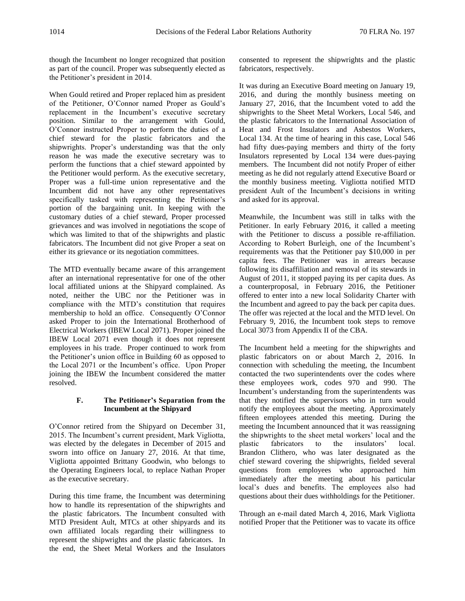though the Incumbent no longer recognized that position as part of the council. Proper was subsequently elected as the Petitioner's president in 2014.

When Gould retired and Proper replaced him as president of the Petitioner, O'Connor named Proper as Gould's replacement in the Incumbent's executive secretary position. Similar to the arrangement with Gould, O'Connor instructed Proper to perform the duties of a chief steward for the plastic fabricators and the shipwrights. Proper's understanding was that the only reason he was made the executive secretary was to perform the functions that a chief steward appointed by the Petitioner would perform. As the executive secretary, Proper was a full-time union representative and the Incumbent did not have any other representatives specifically tasked with representing the Petitioner's portion of the bargaining unit. In keeping with the customary duties of a chief steward, Proper processed grievances and was involved in negotiations the scope of which was limited to that of the shipwrights and plastic fabricators. The Incumbent did not give Proper a seat on either its grievance or its negotiation committees.

The MTD eventually became aware of this arrangement after an international representative for one of the other local affiliated unions at the Shipyard complained. As noted, neither the UBC nor the Petitioner was in compliance with the MTD's constitution that requires membership to hold an office. Consequently O'Connor asked Proper to join the International Brotherhood of Electrical Workers (IBEW Local 2071). Proper joined the IBEW Local 2071 even though it does not represent employees in his trade. Proper continued to work from the Petitioner's union office in Building 60 as opposed to the Local 2071 or the Incumbent's office. Upon Proper joining the IBEW the Incumbent considered the matter resolved.

# **F. The Petitioner's Separation from the Incumbent at the Shipyard**

O'Connor retired from the Shipyard on December 31, 2015. The Incumbent's current president, Mark Vigliotta, was elected by the delegates in December of 2015 and sworn into office on January 27, 2016. At that time, Vigliotta appointed Brittany Goodwin, who belongs to the Operating Engineers local, to replace Nathan Proper as the executive secretary.

During this time frame, the Incumbent was determining how to handle its representation of the shipwrights and the plastic fabricators. The Incumbent consulted with MTD President Ault, MTCs at other shipyards and its own affiliated locals regarding their willingness to represent the shipwrights and the plastic fabricators. In the end, the Sheet Metal Workers and the Insulators consented to represent the shipwrights and the plastic fabricators, respectively.

It was during an Executive Board meeting on January 19, 2016, and during the monthly business meeting on January 27, 2016, that the Incumbent voted to add the shipwrights to the Sheet Metal Workers, Local 546, and the plastic fabricators to the International Association of Heat and Frost Insulators and Asbestos Workers, Local 134. At the time of hearing in this case, Local 546 had fifty dues-paying members and thirty of the forty Insulators represented by Local 134 were dues-paying members. The Incumbent did not notify Proper of either meeting as he did not regularly attend Executive Board or the monthly business meeting. Vigliotta notified MTD president Ault of the Incumbent's decisions in writing and asked for its approval.

Meanwhile, the Incumbent was still in talks with the Petitioner. In early February 2016, it called a meeting with the Petitioner to discuss a possible re-affiliation. According to Robert Burleigh, one of the Incumbent's requirements was that the Petitioner pay \$10,000 in per capita fees. The Petitioner was in arrears because following its disaffiliation and removal of its stewards in August of 2011, it stopped paying its per capita dues. As a counterproposal, in February 2016, the Petitioner offered to enter into a new local Solidarity Charter with the Incumbent and agreed to pay the back per capita dues. The offer was rejected at the local and the MTD level. On February 9, 2016, the Incumbent took steps to remove Local 3073 from Appendix II of the CBA.

The Incumbent held a meeting for the shipwrights and plastic fabricators on or about March 2, 2016. In connection with scheduling the meeting, the Incumbent contacted the two superintendents over the codes where these employees work, codes 970 and 990. The Incumbent's understanding from the superintendents was that they notified the supervisors who in turn would notify the employees about the meeting. Approximately fifteen employees attended this meeting. During the meeting the Incumbent announced that it was reassigning the shipwrights to the sheet metal workers' local and the plastic fabricators to the insulators' local. Brandon Clithero, who was later designated as the chief steward covering the shipwrights, fielded several questions from employees who approached him immediately after the meeting about his particular local's dues and benefits. The employees also had questions about their dues withholdings for the Petitioner.

Through an e-mail dated March 4, 2016, Mark Vigliotta notified Proper that the Petitioner was to vacate its office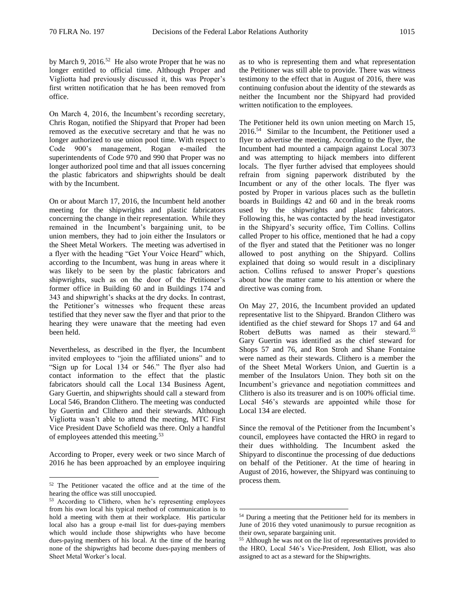by March 9, 2016.<sup>52</sup> He also wrote Proper that he was no longer entitled to official time. Although Proper and Vigliotta had previously discussed it, this was Proper's first written notification that he has been removed from office.

On March 4, 2016, the Incumbent's recording secretary, Chris Rogan, notified the Shipyard that Proper had been removed as the executive secretary and that he was no longer authorized to use union pool time. With respect to Code 900's management, Rogan e-mailed the superintendents of Code 970 and 990 that Proper was no longer authorized pool time and that all issues concerning the plastic fabricators and shipwrights should be dealt with by the Incumbent.

On or about March 17, 2016, the Incumbent held another meeting for the shipwrights and plastic fabricators concerning the change in their representation. While they remained in the Incumbent's bargaining unit, to be union members, they had to join either the Insulators or the Sheet Metal Workers. The meeting was advertised in a flyer with the heading "Get Your Voice Heard" which, according to the Incumbent, was hung in areas where it was likely to be seen by the plastic fabricators and shipwrights, such as on the door of the Petitioner's former office in Building 60 and in Buildings 174 and 343 and shipwright's shacks at the dry docks. In contrast, the Petitioner's witnesses who frequent these areas testified that they never saw the flyer and that prior to the hearing they were unaware that the meeting had even been held.

Nevertheless, as described in the flyer, the Incumbent invited employees to "join the affiliated unions" and to "Sign up for Local 134 or 546." The flyer also had contact information to the effect that the plastic fabricators should call the Local 134 Business Agent, Gary Guertin, and shipwrights should call a steward from Local 546, Brandon Clithero. The meeting was conducted by Guertin and Clithero and their stewards. Although Vigliotta wasn't able to attend the meeting, MTC First Vice President Dave Schofield was there. Only a handful of employees attended this meeting.<sup>53</sup>

According to Proper, every week or two since March of 2016 he has been approached by an employee inquiring

 $\overline{a}$ 

as to who is representing them and what representation the Petitioner was still able to provide. There was witness testimony to the effect that in August of 2016, there was continuing confusion about the identity of the stewards as neither the Incumbent nor the Shipyard had provided written notification to the employees.

The Petitioner held its own union meeting on March 15, 2016.<sup>54</sup> Similar to the Incumbent, the Petitioner used a flyer to advertise the meeting. According to the flyer, the Incumbent had mounted a campaign against Local 3073 and was attempting to hijack members into different locals. The flyer further advised that employees should refrain from signing paperwork distributed by the Incumbent or any of the other locals. The flyer was posted by Proper in various places such as the bulletin boards in Buildings 42 and 60 and in the break rooms used by the shipwrights and plastic fabricators. Following this, he was contacted by the head investigator in the Shipyard's security office, Tim Collins. Collins called Proper to his office, mentioned that he had a copy of the flyer and stated that the Petitioner was no longer allowed to post anything on the Shipyard. Collins explained that doing so would result in a disciplinary action. Collins refused to answer Proper's questions about how the matter came to his attention or where the directive was coming from.

On May 27, 2016, the Incumbent provided an updated representative list to the Shipyard. Brandon Clithero was identified as the chief steward for Shops 17 and 64 and Robert deButts was named as their steward.<sup>55</sup> Gary Guertin was identified as the chief steward for Shops 57 and 76, and Ron Stroh and Shane Fontaine were named as their stewards. Clithero is a member the of the Sheet Metal Workers Union, and Guertin is a member of the Insulators Union. They both sit on the Incumbent's grievance and negotiation committees and Clithero is also its treasurer and is on 100% official time. Local 546's stewards are appointed while those for Local 134 are elected.

Since the removal of the Petitioner from the Incumbent's council, employees have contacted the HRO in regard to their dues withholding. The Incumbent asked the Shipyard to discontinue the processing of due deductions on behalf of the Petitioner. At the time of hearing in August of 2016, however, the Shipyard was continuing to process them.

<sup>52</sup> The Petitioner vacated the office and at the time of the hearing the office was still unoccupied.

<sup>53</sup> According to Clithero, when he's representing employees from his own local his typical method of communication is to hold a meeting with them at their workplace. His particular local also has a group e-mail list for dues-paying members which would include those shipwrights who have become dues-paying members of his local. At the time of the hearing none of the shipwrights had become dues-paying members of Sheet Metal Worker's local.

<sup>54</sup> During a meeting that the Petitioner held for its members in June of 2016 they voted unanimously to pursue recognition as their own, separate bargaining unit.

<sup>55</sup> Although he was not on the list of representatives provided to the HRO, Local 546's Vice-President, Josh Elliott, was also assigned to act as a steward for the Shipwrights.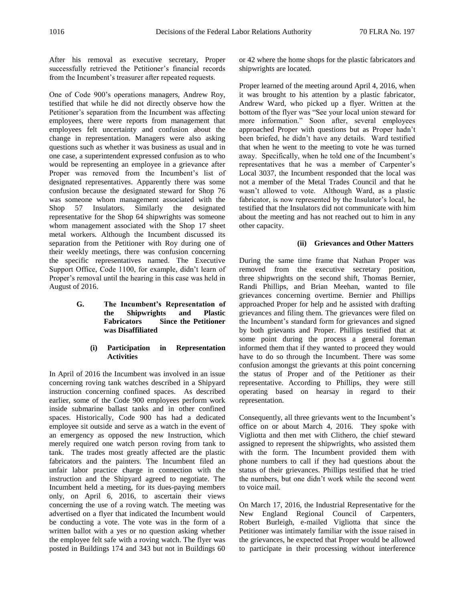After his removal as executive secretary, Proper successfully retrieved the Petitioner's financial records from the Incumbent's treasurer after repeated requests.

One of Code 900's operations managers, Andrew Roy, testified that while he did not directly observe how the Petitioner's separation from the Incumbent was affecting employees, there were reports from management that employees felt uncertainty and confusion about the change in representation. Managers were also asking questions such as whether it was business as usual and in one case, a superintendent expressed confusion as to who would be representing an employee in a grievance after Proper was removed from the Incumbent's list of designated representatives. Apparently there was some confusion because the designated steward for Shop 76 was someone whom management associated with the Shop 57 Insulators. Similarly the designated representative for the Shop 64 shipwrights was someone whom management associated with the Shop 17 sheet metal workers. Although the Incumbent discussed its separation from the Petitioner with Roy during one of their weekly meetings, there was confusion concerning the specific representatives named. The Executive Support Office, Code 1100, for example, didn't learn of Proper's removal until the hearing in this case was held in August of 2016.

> **G. The Incumbent's Representation of the Shipwrights and Plastic Fabricators Since the Petitioner was Disaffiliated**

## **(i) Participation in Representation Activities**

In April of 2016 the Incumbent was involved in an issue concerning roving tank watches described in a Shipyard instruction concerning confined spaces. As described earlier, some of the Code 900 employees perform work inside submarine ballast tanks and in other confined spaces. Historically, Code 900 has had a dedicated employee sit outside and serve as a watch in the event of an emergency as opposed the new Instruction, which merely required one watch person roving from tank to tank. The trades most greatly affected are the plastic fabricators and the painters. The Incumbent filed an unfair labor practice charge in connection with the instruction and the Shipyard agreed to negotiate. The Incumbent held a meeting, for its dues-paying members only, on April 6, 2016, to ascertain their views concerning the use of a roving watch. The meeting was advertised on a flyer that indicated the Incumbent would be conducting a vote. The vote was in the form of a written ballot with a yes or no question asking whether the employee felt safe with a roving watch. The flyer was posted in Buildings 174 and 343 but not in Buildings 60

or 42 where the home shops for the plastic fabricators and shipwrights are located.

Proper learned of the meeting around April 4, 2016, when it was brought to his attention by a plastic fabricator, Andrew Ward, who picked up a flyer. Written at the bottom of the flyer was "See your local union steward for more information." Soon after, several employees approached Proper with questions but as Proper hadn't been briefed, he didn't have any details. Ward testified that when he went to the meeting to vote he was turned away. Specifically, when he told one of the Incumbent's representatives that he was a member of Carpenter's Local 3037, the Incumbent responded that the local was not a member of the Metal Trades Council and that he wasn't allowed to vote. Although Ward, as a plastic fabricator, is now represented by the Insulator's local, he testified that the Insulators did not communicate with him about the meeting and has not reached out to him in any other capacity.

## **(ii) Grievances and Other Matters**

During the same time frame that Nathan Proper was removed from the executive secretary position, three shipwrights on the second shift, Thomas Bernier, Randi Phillips, and Brian Meehan, wanted to file grievances concerning overtime. Bernier and Phillips approached Proper for help and he assisted with drafting grievances and filing them. The grievances were filed on the Incumbent's standard form for grievances and signed by both grievants and Proper. Phillips testified that at some point during the process a general foreman informed them that if they wanted to proceed they would have to do so through the Incumbent. There was some confusion amongst the grievants at this point concerning the status of Proper and of the Petitioner as their representative. According to Phillips, they were still operating based on hearsay in regard to their representation.

Consequently, all three grievants went to the Incumbent's office on or about March 4, 2016. They spoke with Vigliotta and then met with Clithero, the chief steward assigned to represent the shipwrights, who assisted them with the form. The Incumbent provided them with phone numbers to call if they had questions about the status of their grievances. Phillips testified that he tried the numbers, but one didn't work while the second went to voice mail.

On March 17, 2016, the Industrial Representative for the New England Regional Council of Carpenters, Robert Burleigh, e-mailed Vigliotta that since the Petitioner was intimately familiar with the issue raised in the grievances, he expected that Proper would be allowed to participate in their processing without interference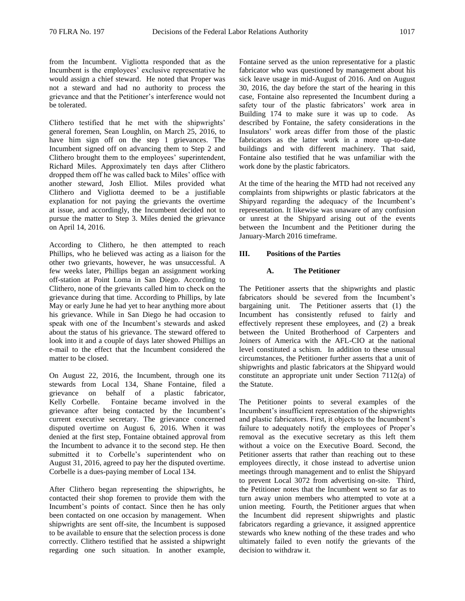from the Incumbent. Vigliotta responded that as the Incumbent is the employees' exclusive representative he would assign a chief steward. He noted that Proper was not a steward and had no authority to process the grievance and that the Petitioner's interference would not be tolerated.

Clithero testified that he met with the shipwrights' general foremen, Sean Loughlin, on March 25, 2016, to have him sign off on the step 1 grievances. The Incumbent signed off on advancing them to Step 2 and Clithero brought them to the employees' superintendent, Richard Miles. Approximately ten days after Clithero dropped them off he was called back to Miles' office with another steward, Josh Elliot. Miles provided what Clithero and Vigliotta deemed to be a justifiable explanation for not paying the grievants the overtime at issue, and accordingly, the Incumbent decided not to pursue the matter to Step 3. Miles denied the grievance on April 14, 2016.

According to Clithero, he then attempted to reach Phillips, who he believed was acting as a liaison for the other two grievants, however, he was unsuccessful. A few weeks later, Phillips began an assignment working off-station at Point Loma in San Diego. According to Clithero, none of the grievants called him to check on the grievance during that time. According to Phillips, by late May or early June he had yet to hear anything more about his grievance. While in San Diego he had occasion to speak with one of the Incumbent's stewards and asked about the status of his grievance. The steward offered to look into it and a couple of days later showed Phillips an e-mail to the effect that the Incumbent considered the matter to be closed.

On August 22, 2016, the Incumbent, through one its stewards from Local 134, Shane Fontaine, filed a grievance on behalf of a plastic fabricator, Kelly Corbelle. Fontaine became involved in the grievance after being contacted by the Incumbent's current executive secretary. The grievance concerned disputed overtime on August 6, 2016. When it was denied at the first step, Fontaine obtained approval from the Incumbent to advance it to the second step. He then submitted it to Corbelle's superintendent who on August 31, 2016, agreed to pay her the disputed overtime. Corbelle is a dues-paying member of Local 134.

After Clithero began representing the shipwrights, he contacted their shop foremen to provide them with the Incumbent's points of contact. Since then he has only been contacted on one occasion by management. When shipwrights are sent off-site, the Incumbent is supposed to be available to ensure that the selection process is done correctly. Clithero testified that he assisted a shipwright regarding one such situation. In another example,

Fontaine served as the union representative for a plastic fabricator who was questioned by management about his sick leave usage in mid-August of 2016. And on August 30, 2016, the day before the start of the hearing in this case, Fontaine also represented the Incumbent during a safety tour of the plastic fabricators' work area in Building 174 to make sure it was up to code. As described by Fontaine, the safety considerations in the Insulators' work areas differ from those of the plastic fabricators as the latter work in a more up-to-date buildings and with different machinery. That said, Fontaine also testified that he was unfamiliar with the work done by the plastic fabricators.

At the time of the hearing the MTD had not received any complaints from shipwrights or plastic fabricators at the Shipyard regarding the adequacy of the Incumbent's representation. It likewise was unaware of any confusion or unrest at the Shipyard arising out of the events between the Incumbent and the Petitioner during the January-March 2016 timeframe.

### **III. Positions of the Parties**

### **A. The Petitioner**

The Petitioner asserts that the shipwrights and plastic fabricators should be severed from the Incumbent's bargaining unit. The Petitioner asserts that (1) the Incumbent has consistently refused to fairly and effectively represent these employees, and (2) a break between the United Brotherhood of Carpenters and Joiners of America with the AFL-CIO at the national level constituted a schism. In addition to these unusual circumstances, the Petitioner further asserts that a unit of shipwrights and plastic fabricators at the Shipyard would constitute an appropriate unit under Section 7112(a) of the Statute.

The Petitioner points to several examples of the Incumbent's insufficient representation of the shipwrights and plastic fabricators. First, it objects to the Incumbent's failure to adequately notify the employees of Proper's removal as the executive secretary as this left them without a voice on the Executive Board. Second, the Petitioner asserts that rather than reaching out to these employees directly, it chose instead to advertise union meetings through management and to enlist the Shipyard to prevent Local 3072 from advertising on-site. Third, the Petitioner notes that the Incumbent went so far as to turn away union members who attempted to vote at a union meeting. Fourth, the Petitioner argues that when the Incumbent did represent shipwrights and plastic fabricators regarding a grievance, it assigned apprentice stewards who knew nothing of the these trades and who ultimately failed to even notify the grievants of the decision to withdraw it.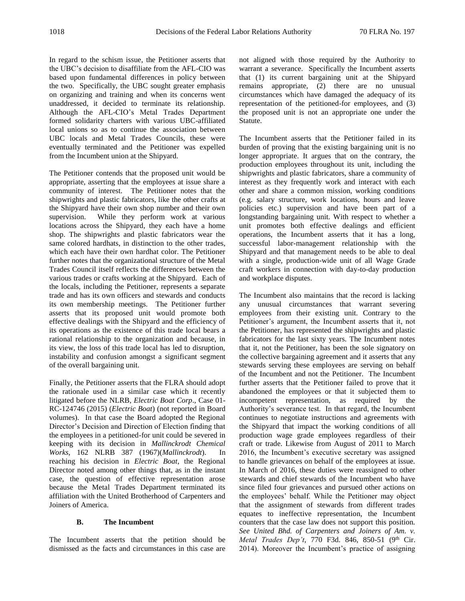In regard to the schism issue, the Petitioner asserts that the UBC's decision to disaffiliate from the AFL-CIO was based upon fundamental differences in policy between the two. Specifically, the UBC sought greater emphasis on organizing and training and when its concerns went unaddressed, it decided to terminate its relationship. Although the AFL-CIO's Metal Trades Department formed solidarity charters with various UBC-affiliated local unions so as to continue the association between UBC locals and Metal Trades Councils, these were eventually terminated and the Petitioner was expelled from the Incumbent union at the Shipyard.

The Petitioner contends that the proposed unit would be appropriate, asserting that the employees at issue share a community of interest. The Petitioner notes that the shipwrights and plastic fabricators, like the other crafts at the Shipyard have their own shop number and their own supervision. While they perform work at various locations across the Shipyard, they each have a home shop. The shipwrights and plastic fabricators wear the same colored hardhats, in distinction to the other trades, which each have their own hardhat color. The Petitioner further notes that the organizational structure of the Metal Trades Council itself reflects the differences between the various trades or crafts working at the Shipyard. Each of the locals, including the Petitioner, represents a separate trade and has its own officers and stewards and conducts its own membership meetings. The Petitioner further asserts that its proposed unit would promote both effective dealings with the Shipyard and the efficiency of its operations as the existence of this trade local bears a rational relationship to the organization and because, in its view, the loss of this trade local has led to disruption, instability and confusion amongst a significant segment of the overall bargaining unit.

Finally, the Petitioner asserts that the FLRA should adopt the rationale used in a similar case which it recently litigated before the NLRB, *Electric Boat Corp*., Case 01- RC-124746 (2015) (*Electric Boat*) (not reported in Board volumes). In that case the Board adopted the Regional Director's Decision and Direction of Election finding that the employees in a petitioned-for unit could be severed in keeping with its decision in *Mallinckrodt Chemical Works*, 162 NLRB 387 (1967)(*Mallinckrodt*). In reaching his decision in *Electric Boat*, the Regional Director noted among other things that, as in the instant case, the question of effective representation arose because the Metal Trades Department terminated its affiliation with the United Brotherhood of Carpenters and Joiners of America.

## **B. The Incumbent**

The Incumbent asserts that the petition should be dismissed as the facts and circumstances in this case are not aligned with those required by the Authority to warrant a severance. Specifically the Incumbent asserts that (1) its current bargaining unit at the Shipyard remains appropriate, (2) there are no unusual circumstances which have damaged the adequacy of its representation of the petitioned-for employees, and (3) the proposed unit is not an appropriate one under the Statute.

The Incumbent asserts that the Petitioner failed in its burden of proving that the existing bargaining unit is no longer appropriate. It argues that on the contrary, the production employees throughout its unit, including the shipwrights and plastic fabricators, share a community of interest as they frequently work and interact with each other and share a common mission, working conditions (e.g. salary structure, work locations, hours and leave policies etc.) supervision and have been part of a longstanding bargaining unit. With respect to whether a unit promotes both effective dealings and efficient operations, the Incumbent asserts that it has a long, successful labor-management relationship with the Shipyard and that management needs to be able to deal with a single, production-wide unit of all Wage Grade craft workers in connection with day-to-day production and workplace disputes.

The Incumbent also maintains that the record is lacking any unusual circumstances that warrant severing employees from their existing unit. Contrary to the Petitioner's argument, the Incumbent asserts that it, not the Petitioner, has represented the shipwrights and plastic fabricators for the last sixty years. The Incumbent notes that it, not the Petitioner, has been the sole signatory on the collective bargaining agreement and it asserts that any stewards serving these employees are serving on behalf of the Incumbent and not the Petitioner. The Incumbent further asserts that the Petitioner failed to prove that it abandoned the employees or that it subjected them to incompetent representation, as required by the Authority's severance test. In that regard, the Incumbent continues to negotiate instructions and agreements with the Shipyard that impact the working conditions of all production wage grade employees regardless of their craft or trade. Likewise from August of 2011 to March 2016, the Incumbent's executive secretary was assigned to handle grievances on behalf of the employees at issue. In March of 2016, these duties were reassigned to other stewards and chief stewards of the Incumbent who have since filed four grievances and pursued other actions on the employees' behalf. While the Petitioner may object that the assignment of stewards from different trades equates to ineffective representation, the Incumbent counters that the case law does not support this position. *See United Bhd. of Carpenters and Joiners of Am. v. Metal Trades Dep't*, 770 F3d. 846, 850-51 (9<sup>th</sup> Cir. 2014). Moreover the Incumbent's practice of assigning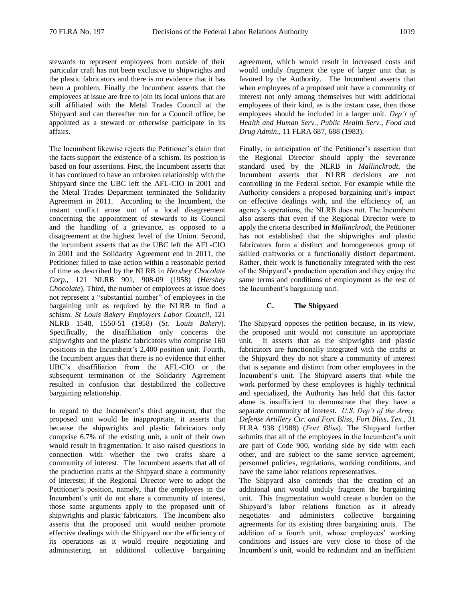stewards to represent employees from outside of their particular craft has not been exclusive to shipwrights and the plastic fabricators and there is no evidence that it has been a problem. Finally the Incumbent asserts that the employees at issue are free to join its local unions that are still affiliated with the Metal Trades Council at the Shipyard and can thereafter run for a Council office, be appointed as a steward or otherwise participate in its affairs.

The Incumbent likewise rejects the Petitioner's claim that the facts support the existence of a schism. Its position is based on four assertions. First, the Incumbent asserts that it has continued to have an unbroken relationship with the Shipyard since the UBC left the AFL-CIO in 2001 and the Metal Trades Department terminated the Solidarity Agreement in 2011. According to the Incumbent, the instant conflict arose out of a local disagreement concerning the appointment of stewards to its Council and the handling of a grievance, as opposed to a disagreement at the highest level of the Union. Second, the incumbent asserts that as the UBC left the AFL-CIO in 2001 and the Solidarity Agreement end in 2011, the Petitioner failed to take action within a reasonable period of time as described by the NLRB in *Hershey Chocolate Corp.*, 121 NLRB 901, 908-09 (1958) (*Hershey Chocolate*). Third, the number of employees at issue does not represent a "substantial number" of employees in the bargaining unit as required by the NLRB to find a schism. *St Louis Bakery Employers Labor Council*, 121 NLRB 1548, 1550-51 (1958) (*St. Louis Bakery*). Specifically, the disaffiliation only concerns the shipwrights and the plastic fabricators who comprise 160 positions in the Incumbent's 2,400 position unit. Fourth, the Incumbent argues that there is no evidence that either UBC's disaffiliation from the AFL-CIO or the subsequent termination of the Solidarity Agreement resulted in confusion that destabilized the collective bargaining relationship.

In regard to the Incumbent's third argument, that the proposed unit would be inappropriate, it asserts that because the shipwrights and plastic fabricators only comprise 6.7% of the existing unit, a unit of their own would result in fragmentation. It also raised questions in connection with whether the two crafts share a community of interest. The Incumbent asserts that all of the production crafts at the Shipyard share a community of interests; if the Regional Director were to adopt the Petitioner's position, namely, that the employees in the Incumbent's unit do not share a community of interest, those same arguments apply to the proposed unit of shipwrights and plastic fabricators. The Incumbent also asserts that the proposed unit would neither promote effective dealings with the Shipyard nor the efficiency of its operations as it would require negotiating and administering an additional collective bargaining

agreement, which would result in increased costs and would unduly fragment the type of larger unit that is favored by the Authority. The Incumbent asserts that when employees of a proposed unit have a community of interest not only among themselves but with additional employees of their kind, as is the instant case, then those employees should be included in a larger unit. *Dep't of Health and Human Serv., Public Health Serv., Food and Drug Admin*., 11 FLRA 687, 688 (1983).

Finally, in anticipation of the Petitioner's assertion that the Regional Director should apply the severance standard used by the NLRB in *Mallinckrodt*, the Incumbent asserts that NLRB decisions are not controlling in the Federal sector. For example while the Authority considers a proposed bargaining unit's impact on effective dealings with, and the efficiency of, an agency's operations, the NLRB does not. The Incumbent also asserts that even if the Regional Director were to apply the criteria described in *Mallinckrodt*, the Petitioner has not established that the shipwrights and plastic fabricators form a distinct and homogeneous group of skilled craftworks or a functionally distinct department. Rather, their work is functionally integrated with the rest of the Shipyard's production operation and they enjoy the same terms and conditions of employment as the rest of the Incumbent's bargaining unit.

## **C. The Shipyard**

The Shipyard opposes the petition because, in its view, the proposed unit would not constitute an appropriate unit. It asserts that as the shipwrights and plastic fabricators are functionally integrated with the crafts at the Shipyard they do not share a community of interest that is separate and distinct from other employees in the Incumbent's unit. The Shipyard asserts that while the work performed by these employees is highly technical and specialized, the Authority has held that this factor alone is insufficient to demonstrate that they have a separate community of interest. *U.S. Dep't of the Army, Defense Artillery Ctr. and Fort Bliss, Fort Bliss, Tex.*, 31 FLRA 938 (1988) (*Fort Bliss*). The Shipyard further submits that all of the employees in the Incumbent's unit are part of Code 900, working side by side with each other, and are subject to the same service agreement, personnel policies, regulations, working conditions, and have the same labor relations representatives.

The Shipyard also contends that the creation of an additional unit would unduly fragment the bargaining unit. This fragmentation would create a burden on the Shipyard's labor relations function as it already negotiates and administers collective bargaining agreements for its existing three bargaining units. The addition of a fourth unit, whose employees' working conditions and issues are very close to those of the Incumbent's unit, would be redundant and an inefficient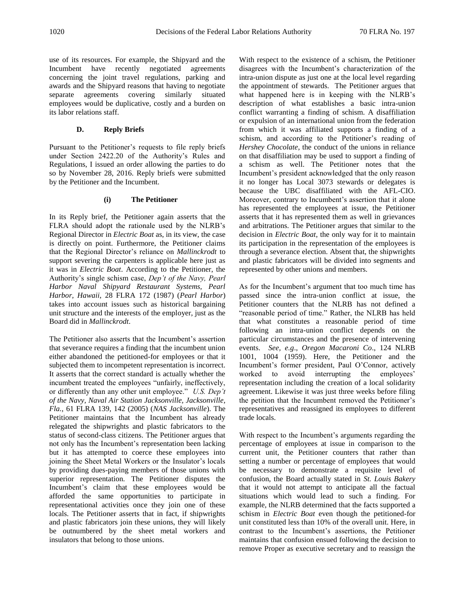use of its resources. For example, the Shipyard and the Incumbent have recently negotiated agreements concerning the joint travel regulations, parking and awards and the Shipyard reasons that having to negotiate separate agreements covering similarly situated employees would be duplicative, costly and a burden on its labor relations staff.

# **D. Reply Briefs**

Pursuant to the Petitioner's requests to file reply briefs under Section 2422.20 of the Authority's Rules and Regulations, I issued an order allowing the parties to do so by November 28, 2016. Reply briefs were submitted by the Petitioner and the Incumbent.

# **(i) The Petitioner**

In its Reply brief, the Petitioner again asserts that the FLRA should adopt the rationale used by the NLRB's Regional Director in *Electric Boat* as, in its view, the case is directly on point. Furthermore, the Petitioner claims that the Regional Director's reliance on *Mallinckrodt* to support severing the carpenters is applicable here just as it was in *Electric Boat*. According to the Petitioner, the Authority's single schism case, *Dep't of the Navy, Pearl Harbor Naval Shipyard Restaurant Systems, Pearl Harbor, Hawaii*, 28 FLRA 172 (1987) (*Pearl Harbor*) takes into account issues such as historical bargaining unit structure and the interests of the employer, just as the Board did in *Mallinckrodt*.

The Petitioner also asserts that the Incumbent's assertion that severance requires a finding that the incumbent union either abandoned the petitioned-for employees or that it subjected them to incompetent representation is incorrect. It asserts that the correct standard is actually whether the incumbent treated the employees "unfairly, ineffectively, or differently than any other unit employee." *U.S. Dep't of the Navy, Naval Air Station Jacksonville, Jacksonville, Fla.*, 61 FLRA 139, 142 (2005) (*NAS Jacksonville*). The Petitioner maintains that the Incumbent has already relegated the shipwrights and plastic fabricators to the status of second-class citizens. The Petitioner argues that not only has the Incumbent's representation been lacking but it has attempted to coerce these employees into joining the Sheet Metal Workers or the Insulator's locals by providing dues-paying members of those unions with superior representation. The Petitioner disputes the Incumbent's claim that these employees would be afforded the same opportunities to participate in representational activities once they join one of these locals. The Petitioner asserts that in fact, if shipwrights and plastic fabricators join these unions, they will likely be outnumbered by the sheet metal workers and insulators that belong to those unions.

With respect to the existence of a schism, the Petitioner disagrees with the Incumbent's characterization of the intra-union dispute as just one at the local level regarding the appointment of stewards. The Petitioner argues that what happened here is in keeping with the NLRB's description of what establishes a basic intra-union conflict warranting a finding of schism. A disaffiliation or expulsion of an international union from the federation from which it was affiliated supports a finding of a schism, and according to the Petitioner's reading of *Hershey Chocolate*, the conduct of the unions in reliance on that disaffiliation may be used to support a finding of a schism as well. The Petitioner notes that the Incumbent's president acknowledged that the only reason it no longer has Local 3073 stewards or delegates is because the UBC disaffiliated with the AFL-CIO. Moreover, contrary to Incumbent's assertion that it alone has represented the employees at issue, the Petitioner asserts that it has represented them as well in grievances and arbitrations. The Petitioner argues that similar to the decision in *Electric Boat*, the only way for it to maintain its participation in the representation of the employees is through a severance election. Absent that, the shipwrights and plastic fabricators will be divided into segments and represented by other unions and members.

As for the Incumbent's argument that too much time has passed since the intra-union conflict at issue, the Petitioner counters that the NLRB has not defined a "reasonable period of time." Rather, the NLRB has held that what constitutes a reasonable period of time following an intra-union conflict depends on the particular circumstances and the presence of intervening events. *See, e.g*., *Oregon Macaroni Co*., 124 NLRB 1001, 1004 (1959). Here, the Petitioner and the Incumbent's former president, Paul O'Connor, actively worked to avoid interrupting the employees' representation including the creation of a local solidarity agreement. Likewise it was just three weeks before filing the petition that the Incumbent removed the Petitioner's representatives and reassigned its employees to different trade locals.

With respect to the Incumbent's arguments regarding the percentage of employees at issue in comparison to the current unit, the Petitioner counters that rather than setting a number or percentage of employees that would be necessary to demonstrate a requisite level of confusion, the Board actually stated in *St. Louis Bakery* that it would not attempt to anticipate all the factual situations which would lead to such a finding. For example, the NLRB determined that the facts supported a schism in *Electric Boat* even though the petitioned-for unit constituted less than 10% of the overall unit. Here, in contrast to the Incumbent's assertions, the Petitioner maintains that confusion ensued following the decision to remove Proper as executive secretary and to reassign the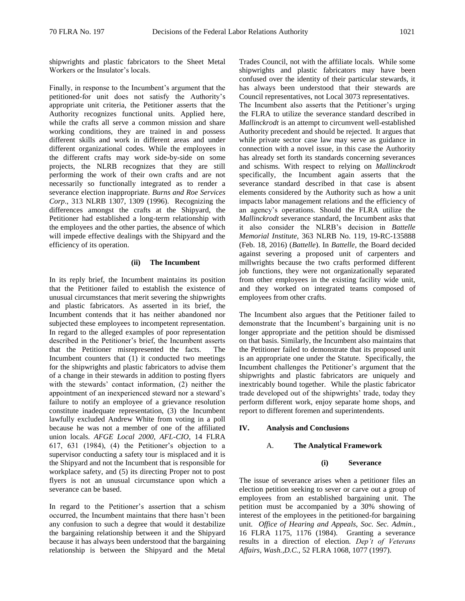shipwrights and plastic fabricators to the Sheet Metal Workers or the Insulator's locals.

Finally, in response to the Incumbent's argument that the petitioned-for unit does not satisfy the Authority's appropriate unit criteria, the Petitioner asserts that the Authority recognizes functional units. Applied here, while the crafts all serve a common mission and share working conditions, they are trained in and possess different skills and work in different areas and under different organizational codes. While the employees in the different crafts may work side-by-side on some projects, the NLRB recognizes that they are still performing the work of their own crafts and are not necessarily so functionally integrated as to render a severance election inappropriate. *Burns and Roe Services Corp*., 313 NLRB 1307, 1309 (1996). Recognizing the differences amongst the crafts at the Shipyard, the Petitioner had established a long-term relationship with the employees and the other parties, the absence of which will impede effective dealings with the Shipyard and the efficiency of its operation.

#### **(ii) The Incumbent**

In its reply brief, the Incumbent maintains its position that the Petitioner failed to establish the existence of unusual circumstances that merit severing the shipwrights and plastic fabricators. As asserted in its brief, the Incumbent contends that it has neither abandoned nor subjected these employees to incompetent representation. In regard to the alleged examples of poor representation described in the Petitioner's brief, the Incumbent asserts that the Petitioner misrepresented the facts. The Incumbent counters that (1) it conducted two meetings for the shipwrights and plastic fabricators to advise them of a change in their stewards in addition to posting flyers with the stewards' contact information, (2) neither the appointment of an inexperienced steward nor a steward's failure to notify an employee of a grievance resolution constitute inadequate representation, (3) the Incumbent lawfully excluded Andrew White from voting in a poll because he was not a member of one of the affiliated union locals. *AFGE Local 2000, AFL-CIO*, 14 FLRA 617, 631 (1984), (4) the Petitioner's objection to a supervisor conducting a safety tour is misplaced and it is the Shipyard and not the Incumbent that is responsible for workplace safety, and (5) its directing Proper not to post flyers is not an unusual circumstance upon which a severance can be based.

In regard to the Petitioner's assertion that a schism occurred, the Incumbent maintains that there hasn't been any confusion to such a degree that would it destabilize the bargaining relationship between it and the Shipyard because it has always been understood that the bargaining relationship is between the Shipyard and the Metal Trades Council, not with the affiliate locals. While some shipwrights and plastic fabricators may have been confused over the identity of their particular stewards, it has always been understood that their stewards are Council representatives, not Local 3073 representatives.

The Incumbent also asserts that the Petitioner's urging the FLRA to utilize the severance standard described in *Mallinckrodt* is an attempt to circumvent well-established Authority precedent and should be rejected. It argues that while private sector case law may serve as guidance in connection with a novel issue, in this case the Authority has already set forth its standards concerning severances and schisms. With respect to relying on *Mallinckrodt* specifically, the Incumbent again asserts that the severance standard described in that case is absent elements considered by the Authority such as how a unit impacts labor management relations and the efficiency of an agency's operations. Should the FLRA utilize the *Mallinckrodt* severance standard, the Incumbent asks that it also consider the NLRB's decision in *Battelle Memorial Institute*, 363 NLRB No. 119, 19-RC-135888 (Feb. 18, 2016) (*Battelle*). In *Battelle*, the Board decided against severing a proposed unit of carpenters and millwrights because the two crafts performed different job functions, they were not organizationally separated from other employees in the existing facility wide unit, and they worked on integrated teams composed of employees from other crafts.

The Incumbent also argues that the Petitioner failed to demonstrate that the Incumbent's bargaining unit is no longer appropriate and the petition should be dismissed on that basis. Similarly, the Incumbent also maintains that the Petitioner failed to demonstrate that its proposed unit is an appropriate one under the Statute. Specifically, the Incumbent challenges the Petitioner's argument that the shipwrights and plastic fabricators are uniquely and inextricably bound together. While the plastic fabricator trade developed out of the shipwrights' trade, today they perform different work, enjoy separate home shops, and report to different foremen and superintendents.

#### **IV. Analysis and Conclusions**

### A. **The Analytical Framework**

#### **(i) Severance**

The issue of severance arises when a petitioner files an election petition seeking to sever or carve out a group of employees from an established bargaining unit. The petition must be accompanied by a 30% showing of interest of the employees in the petitioned-for bargaining unit. *Office of Hearing and Appeals, Soc. Sec. Admin.*, 16 FLRA 1175, 1176 (1984). Granting a severance results in a direction of election. *Dep't of Veterans Affairs, Wash.,D.C.,* 52 FLRA 1068, 1077 (1997).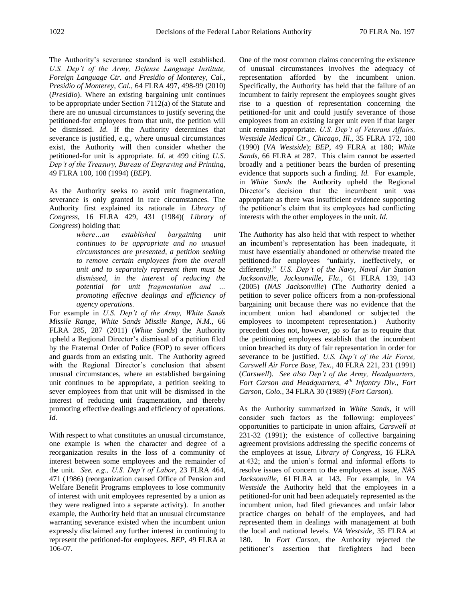The Authority's severance standard is well established. *U.S. Dep't of the Army, Defense Language Institute, Foreign Language Ctr. and Presidio of Monterey, Cal., Presidio of Monterey, Cal.*, 64 FLRA 497, 498-99 (2010) (*Presidio*). Where an existing bargaining unit continues to be appropriate under Section 7112(a) of the Statute and there are no unusual circumstances to justify severing the petitioned-for employees from that unit, the petition will be dismissed. *Id.* If the Authority determines that severance is justified, e.g., where unusual circumstances exist, the Authority will then consider whether the petitioned-for unit is appropriate. *Id.* at 499 citing *U.S. Dep't of the Treasury, Bureau of Engraving and Printing*, 49 FLRA 100, 108 (1994) (*BEP*).

As the Authority seeks to avoid unit fragmentation, severance is only granted in rare circumstances. The Authority first explained its rationale in *Library of Congress*, 16 FLRA 429, 431 (1984)( *Library of Congress*) holding that:

> *where…an established bargaining unit continues to be appropriate and no unusual circumstances are presented, a petition seeking to remove certain employees from the overall unit and to separately represent them must be dismissed, in the interest of reducing the potential for unit fragmentation and … promoting effective dealings and efficiency of agency operations.*

For example in *U.S. Dep't of the Army, White Sands Missile Range, White Sands Missile Range, N.M.,* 66 FLRA 285, 287 (2011) (*White Sands*) the Authority upheld a Regional Director's dismissal of a petition filed by the Fraternal Order of Police (FOP) to sever officers and guards from an existing unit. The Authority agreed with the Regional Director's conclusion that absent unusual circumstances, where an established bargaining unit continues to be appropriate, a petition seeking to sever employees from that unit will be dismissed in the interest of reducing unit fragmentation, and thereby promoting effective dealings and efficiency of operations. *Id.*

With respect to what constitutes an unusual circumstance, one example is when the character and degree of a reorganization results in the loss of a community of interest between some employees and the remainder of the unit. *See, e.g., U.S. Dep't of Labor*, 23 FLRA 464, 471 (1986) (reorganization caused Office of Pension and Welfare Benefit Programs employees to lose community of interest with unit employees represented by a union as they were realigned into a separate activity). In another example, the Authority held that an unusual circumstance warranting severance existed when the incumbent union expressly disclaimed any further interest in continuing to represent the petitioned-for employees. *BEP*, 49 FLRA at 106-07.

One of the most common claims concerning the existence of unusual circumstances involves the adequacy of representation afforded by the incumbent union. Specifically, the Authority has held that the failure of an incumbent to fairly represent the employees sought gives rise to a question of representation concerning the petitioned-for unit and could justify severance of those employees from an existing larger unit even if that larger unit remains appropriate. *U.S. Dep't of Veterans Affairs, Westside Medical Ctr., Chicago, Ill.,* 35 FLRA 172, 180 (1990) (*VA Westside*); *BEP*, 49 FLRA at 180; *White Sands*, 66 FLRA at 287. This claim cannot be asserted broadly and a petitioner bears the burden of presenting evidence that supports such a finding. *Id.* For example, in *White Sands* the Authority upheld the Regional Director's decision that the incumbent unit was appropriate as there was insufficient evidence supporting the petitioner's claim that its employees had conflicting interests with the other employees in the unit. *Id*.

The Authority has also held that with respect to whether an incumbent's representation has been inadequate, it must have essentially abandoned or otherwise treated the petitioned-for employees "unfairly, ineffectively, or differently." *U.S. Dep't of the Navy, Naval Air Station Jacksonville, Jacksonville, Fla.*, 61 FLRA 139, 143 (2005) (*NAS Jacksonville*) (The Authority denied a petition to sever police officers from a non-professional bargaining unit because there was no evidence that the incumbent union had abandoned or subjected the employees to incompetent representation.) Authority precedent does not, however, go so far as to require that the petitioning employees establish that the incumbent union breached its duty of fair representation in order for severance to be justified. *U.S. Dep't of the Air Force, Carswell Air Force Base, Tex.*, 40 FLRA 221, 231 (1991) (*Carswell*). *See also Dep't of the Army, Headquarters, Fort Carson and Headquarters, 4th Infantry Div., Fort Carson, Colo.*, 34 FLRA 30 (1989) (*Fort Carson*).

As the Authority summarized in *White Sands*, it will consider such factors as the following: employees' opportunities to participate in union affairs, *Carswell at*  231-32 (1991); the existence of collective bargaining agreement provisions addressing the specific concerns of the employees at issue, *Library of Congress*, 16 FLRA at 432; and the union's formal and informal efforts to resolve issues of concern to the employees at issue, *NAS Jacksonville*, 61 FLRA at 143. For example, in *VA Westside* the Authority held that the employees in a petitioned-for unit had been adequately represented as the incumbent union, had filed grievances and unfair labor practice charges on behalf of the employees, and had represented them in dealings with management at both the local and national levels. *VA Westside*, 35 FLRA at 180. In *Fort Carson*, the Authority rejected the petitioner's assertion that firefighters had been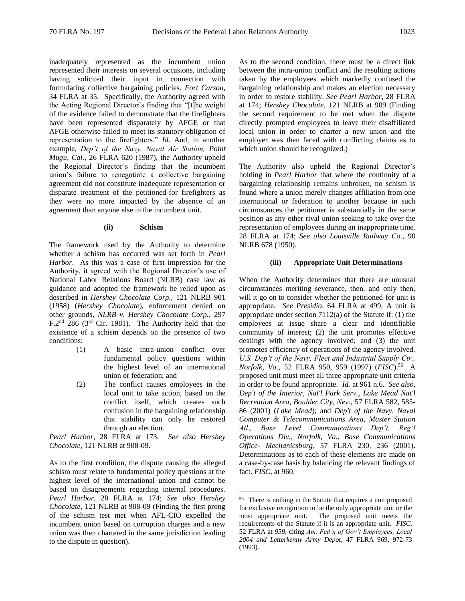inadequately represented as the incumbent union represented their interests on several occasions, including having solicited their input in connection with formulating collective bargaining policies. *Fort Carson*, 34 FLRA at 35. Specifically, the Authority agreed with the Acting Regional Director's finding that "[t]he weight of the evidence failed to demonstrate that the firefighters have been represented disparately by AFGE or that AFGE otherwise failed to meet its statutory obligation of representation to the firefighters." *Id*. And, in another example, *Dep't of the Navy, Naval Air Station, Point Mugu, Cal.*, 26 FLRA 620 (1987), the Authority upheld the Regional Director's finding that the incumbent union's failure to renegotiate a collective bargaining agreement did not constitute inadequate representation or disparate treatment of the petitioned-for firefighters as they were no more impacted by the absence of an agreement than anyone else in the incumbent unit.

#### **(ii) Schism**

The framework used by the Authority to determine whether a schism has occurred was set forth in *Pearl Harbor*. As this was a case of first impression for the Authority, it agreed with the Regional Director's use of National Labor Relations Board (NLRB) case law as guidance and adopted the framework he relied upon as described in *Hershey Chocolate Corp.*, 121 NLRB 901 (1958) (*Hershey Chocolate*), enforcement denied on other grounds, *NLRB v. Hershey Chocolate Corp.*, 297 F.2nd 286 (3rd Cir. 1981). The Authority held that the existence of a schism depends on the presence of two conditions:

- (1) A basic intra-union conflict over fundamental policy questions within the highest level of an international union or federation; and
- (2) The conflict causes employees in the local unit to take action, based on the conflict itself, which creates such confusion in the bargaining relationship that stability can only be restored through an election.

*Pearl Harbor*, 28 FLRA at 173. *See also Hershey Chocolate*, 121 NLRB at 908-09.

As to the first condition, the dispute causing the alleged schism must relate to fundamental policy questions at the highest level of the international union and cannot be based on disagreements regarding internal procedures. *Pearl Harbor,* 28 FLRA at 174; *See also Hershey Chocolate*, 121 NLRB at 908-09 (Finding the first prong of the schism test met when AFL-CIO expelled the incumbent union based on corruption charges and a new union was then chartered in the same jurisdiction leading to the dispute in question).

As to the second condition, there must be a direct link between the intra-union conflict and the resulting actions taken by the employees which markedly confused the bargaining relationship and makes an election necessary in order to restore stability. *See Pearl Harbor*, 28 FLRA at 174; *Hershey Chocolate*, 121 NLRB at 909 (Finding the second requirement to be met when the dispute directly prompted employees to leave their disaffiliated local union in order to charter a new union and the employer was then faced with conflicting claims as to which union should be recognized.)

The Authority also upheld the Regional Director's holding in *Pearl Harbor* that where the continuity of a bargaining relationship remains unbroken, no schism is found where a union merely changes affiliation from one international or federation to another because in such circumstances the petitioner is substantially in the same position as any other rival union seeking to take over the representation of employees during an inappropriate time. 28 FLRA at 174; *See also Louisville Railway Co.*, 90 NLRB 678 (1950).

#### **(iii) Appropriate Unit Determinations**

When the Authority determines that there are unusual circumstances meriting severance, then, and only then, will it go on to consider whether the petitioned-for unit is appropriate. *See Presidio*, 64 FLRA at 499. A unit is appropriate under section 7112(a) of the Statute if: (1) the employees at issue share a clear and identifiable community of interest; (2) the unit promotes effective dealings with the agency involved; and (3) the unit promotes efficiency of operations of the agency involved. *U.S. Dep't of the Navy, Fleet and Industrial Supply Ctr., Norfolk, Va.,* 52 FLRA 950, 959 (1997) (*FISC*).<sup>56</sup> A proposed unit must meet all three appropriate unit criteria in order to be found appropriate. *Id.* at 961 n.6. *See also, Dep't of the Interior, Nat'l Park Serv., Lake Mead Nat'l Recreation Area, Boulder City, Nev*., 57 FLRA 582, 585- 86 (2001) (*Lake Mead*); and *Dep't of the Navy, Naval Computer & Telecommunications Area, Master Station Atl., Base Level Communications Dep't. Reg'l Operations Div., Norfolk, Va., Base Communications Office- Mechanicsburg*, 57 FLRA 230, 236 (2001). Determinations as to each of these elements are made on a case-by-case basis by balancing the relevant findings of fact. *FISC,* at 960.

<sup>&</sup>lt;sup>56</sup> There is nothing in the Statute that requires a unit proposed for exclusive recognition to be the only appropriate unit or the most appropriate unit. The proposed unit meets the requirements of the Statute if it is an appropriate unit. *FISC*, 52 FLRA at *959,* citing *Am. Fed'n of Gov't Employees, Local 2004 and Letterkenny Army Depot*, 47 FLRA 969, 972-73 (1993).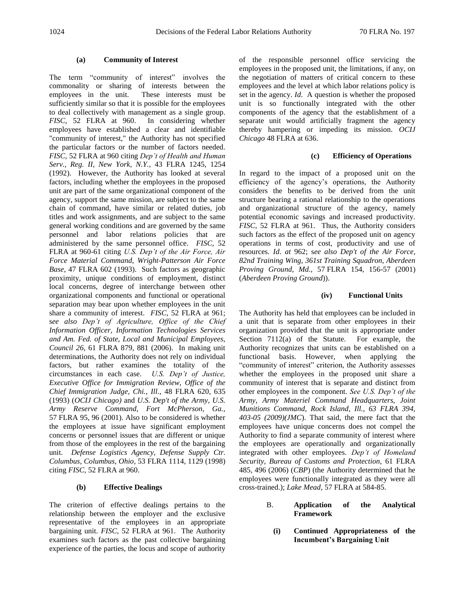## **(a) Community of Interest**

The term "community of interest" involves the commonality or sharing of interests between the employees in the unit. These interests must be sufficiently similar so that it is possible for the employees to deal collectively with management as a single group. *FISC,* 52 FLRA at 960. In considering whether employees have established a clear and identifiable "community of interest," the Authority has not specified the particular factors or the number of factors needed. *FISC,* 52 FLRA at 960 citing *Dep't of Health and Human Serv., Reg. II, New York, N.Y.*, 43 FLRA 1245, 1254 (1992). However, the Authority has looked at several factors, including whether the employees in the proposed unit are part of the same organizational component of the agency, support the same mission, are subject to the same chain of command, have similar or related duties, job titles and work assignments, and are subject to the same general working conditions and are governed by the same personnel and labor relations policies that are administered by the same personnel office. *FISC,* 52 FLRA at 960-61 citing *U.S. Dep't of the Air Force, Air Force Material Command, Wright-Patterson Air Force Base*, 47 FLRA 602 (1993). Such factors as geographic proximity, unique conditions of employment, distinct local concerns, degree of interchange between other organizational components and functional or operational separation may bear upon whether employees in the unit share a community of interest. FISC, 52 FLRA at 961; s*ee also Dep't of Agriculture, Office of the Chief Information Officer, Information Technologies Services and Am. Fed. of State, Local and Municipal Employees, Council 26*, 61 FLRA 879, 881 (2006). In making unit determinations, the Authority does not rely on individual factors, but rather examines the totality of the circumstances in each case. *U.S. Dep't of Justice, Executive Office for Immigration Review, Office of the Chief Immigration Judge, Chi., Ill*., 48 FLRA 620, 635 (1993) (*OCIJ Chicago)* and *U.S. Dep't of the Army, U.S. Army Reserve Command, Fort McPherson, Ga.,*  57 FLRA 95, 96 (2001). Also to be considered is whether the employees at issue have significant employment concerns or personnel issues that are different or unique from those of the employees in the rest of the bargaining unit. *Defense Logistics Agency, Defense Supply Ctr. Columbus, Columbus, Ohio,* 53 FLRA 1114, 1129 (1998) citing *FISC,* 52 FLRA at 960.

# **(b) Effective Dealings**

The criterion of effective dealings pertains to the relationship between the employer and the exclusive representative of the employees in an appropriate bargaining unit. *FISC,* 52 FLRA at 961. The Authority examines such factors as the past collective bargaining experience of the parties, the locus and scope of authority

of the responsible personnel office servicing the employees in the proposed unit, the limitations, if any, on the negotiation of matters of critical concern to these employees and the level at which labor relations policy is set in the agency. *Id*. A question is whether the proposed unit is so functionally integrated with the other components of the agency that the establishment of a separate unit would artificially fragment the agency thereby hampering or impeding its mission. *OCIJ Chicago* 48 FLRA at 636.

## **(c) Efficiency of Operations**

In regard to the impact of a proposed unit on the efficiency of the agency's operations, the Authority considers the benefits to be derived from the unit structure bearing a rational relationship to the operations and organizational structure of the agency, namely potential economic savings and increased productivity. *FISC,* 52 FLRA at 961. Thus, the Authority considers such factors as the effect of the proposed unit on agency operations in terms of cost, productivity and use of resources. *Id*. *at* 962; s*ee also Dep't of the Air Force, 82nd Training Wing, 361st Training Squadron, Aberdeen Proving Ground, Md.,* 57 FLRA 154, 156-57 (2001) (*Aberdeen Proving Ground*)).

### **(iv) Functional Units**

The Authority has held that employees can be included in a unit that is separate from other employees in their organization provided that the unit is appropriate under Section 7112(a) of the Statute. For example, the Authority recognizes that units can be established on a functional basis. However, when applying the "community of interest" criterion, the Authority assesses whether the employees in the proposed unit share a community of interest that is separate and distinct from other employees in the component. *See U.S. Dep't of the Army, Army Materiel Command Headquarters, Joint Munitions Command, Rock Island, Ill., 63 FLRA 394, 403-05 (2009)(JMC*). That said, the mere fact that the employees have unique concerns does not compel the Authority to find a separate community of interest where the employees are operationally and organizationally integrated with other employees. *Dep't of Homeland Security, Bureau of Customs and Protection,* 61 FLRA 485, 496 (2006) (*CBP*) (the Authority determined that he employees were functionally integrated as they were all cross-trained.); *Lake Mead,* 57 FLRA at 584-85.

- B. **Application of the Analytical Framework**
	- **(i) Continued Appropriateness of the Incumbent's Bargaining Unit**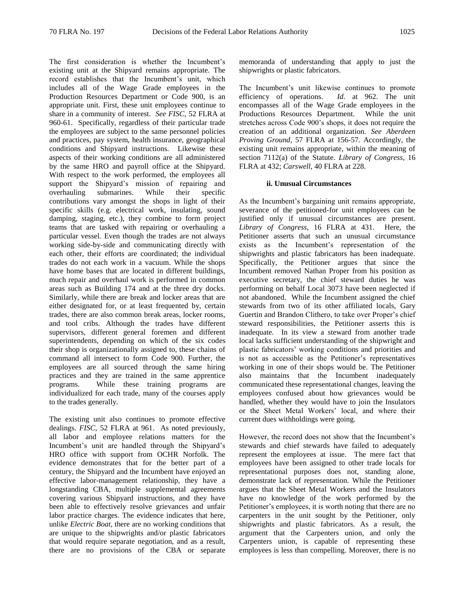The first consideration is whether the Incumbent's existing unit at the Shipyard remains appropriate. The record establishes that the Incumbent's unit, which includes all of the Wage Grade employees in the Production Resources Department or Code 900, is an appropriate unit. First, these unit employees continue to share in a community of interest. *See FISC*, 52 FLRA at 960-61. Specifically, regardless of their particular trade the employees are subject to the same personnel policies and practices, pay system, health insurance, geographical conditions and Shipyard instructions. Likewise these aspects of their working conditions are all administered by the same HRO and payroll office at the Shipyard. With respect to the work performed, the employees all support the Shipyard's mission of repairing and overhauling submarines. While their specific contributions vary amongst the shops in light of their specific skills (e.g. electrical work, insulating, sound damping, staging, etc.), they combine to form project teams that are tasked with repairing or overhauling a particular vessel. Even though the trades are not always working side-by-side and communicating directly with each other, their efforts are coordinated; the individual trades do not each work in a vacuum. While the shops have home bases that are located in different buildings, much repair and overhaul work is performed in common areas such as Building 174 and at the three dry docks. Similarly, while there are break and locker areas that are either designated for, or at least frequented by, certain trades, there are also common break areas, locker rooms, and tool cribs. Although the trades have different supervisors, different general foremen and different superintendents, depending on which of the six codes their shop is organizationally assigned to, these chains of command all intersect to form Code 900. Further, the employees are all sourced through the same hiring practices and they are trained in the same apprentice programs. While these training programs are individualized for each trade, many of the courses apply to the trades generally.

The existing unit also continues to promote effective dealings. *FISC,* 52 FLRA at 961. As noted previously, all labor and employee relations matters for the Incumbent's unit are handled through the Shipyard's HRO office with support from OCHR Norfolk. The evidence demonstrates that for the better part of a century, the Shipyard and the Incumbent have enjoyed an effective labor-management relationship, they have a longstanding CBA, multiple supplemental agreements covering various Shipyard instructions, and they have been able to effectively resolve grievances and unfair labor practice charges. The evidence indicates that here, unlike *Electric Boat*, there are no working conditions that are unique to the shipwrights and/or plastic fabricators that would require separate negotiation, and as a result, there are no provisions of the CBA or separate

memoranda of understanding that apply to just the shipwrights or plastic fabricators.

The Incumbent's unit likewise continues to promote efficiency of operations. *Id*. at 962. The unit encompasses all of the Wage Grade employees in the Productions Resources Department. While the unit stretches across Code 900's shops, it does not require the creation of an additional organization. *See Aberdeen Proving Ground,* 57 FLRA at 156-57*.* Accordingly, the existing unit remains appropriate, within the meaning of section 7112(a) of the Statute. *Library of Congress*, 16 FLRA at 432; *Carswell*, 40 FLRA at 228.

### **ii. Unusual Circumstances**

As the Incumbent's bargaining unit remains appropriate, severance of the petitioned-for unit employees can be justified only if unusual circumstances are present. *Library of Congress*, 16 FLRA at 431. Here, the Petitioner asserts that such an unusual circumstance exists as the Incumbent's representation of the shipwrights and plastic fabricators has been inadequate. Specifically, the Petitioner argues that since the Incumbent removed Nathan Proper from his position as executive secretary, the chief steward duties he was performing on behalf Local 3073 have been neglected if not abandoned. While the Incumbent assigned the chief stewards from two of its other affiliated locals, Gary Guertin and Brandon Clithero, to take over Proper's chief steward responsibilities, the Petitioner asserts this is inadequate. In its view a steward from another trade local lacks sufficient understanding of the shipwright and plastic fabricators' working conditions and priorities and is not as accessible as the Petitioner's representatives working in one of their shops would be. The Petitioner also maintains that the Incumbent inadequately communicated these representational changes, leaving the employees confused about how grievances would be handled, whether they would have to join the Insulators or the Sheet Metal Workers' local, and where their current dues withholdings were going.

However, the record does not show that the Incumbent's stewards and chief stewards have failed to adequately represent the employees at issue. The mere fact that employees have been assigned to other trade locals for representational purposes does not, standing alone, demonstrate lack of representation. While the Petitioner argues that the Sheet Metal Workers and the Insulators have no knowledge of the work performed by the Petitioner's employees, it is worth noting that there are no carpenters in the unit sought by the Petitioner, only shipwrights and plastic fabricators. As a result, the argument that the Carpenters union, and only the Carpenters union, is capable of representing these employees is less than compelling. Moreover, there is no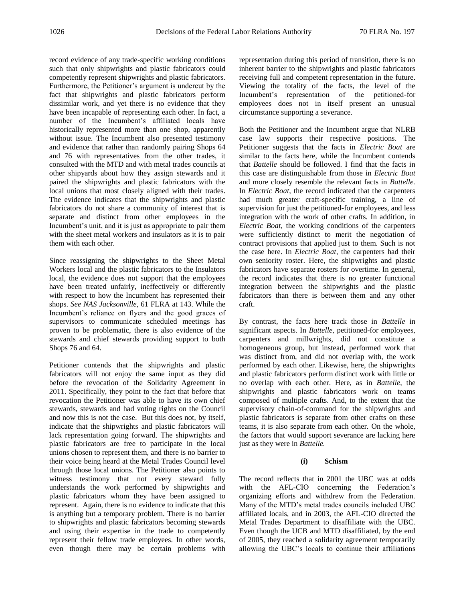record evidence of any trade-specific working conditions such that only shipwrights and plastic fabricators could competently represent shipwrights and plastic fabricators. Furthermore, the Petitioner's argument is undercut by the fact that shipwrights and plastic fabricators perform dissimilar work, and yet there is no evidence that they have been incapable of representing each other. In fact, a number of the Incumbent's affiliated locals have historically represented more than one shop, apparently without issue. The Incumbent also presented testimony and evidence that rather than randomly pairing Shops 64 and 76 with representatives from the other trades, it consulted with the MTD and with metal trades councils at other shipyards about how they assign stewards and it paired the shipwrights and plastic fabricators with the local unions that most closely aligned with their trades. The evidence indicates that the shipwrights and plastic fabricators do not share a community of interest that is separate and distinct from other employees in the Incumbent's unit, and it is just as appropriate to pair them with the sheet metal workers and insulators as it is to pair them with each other.

Since reassigning the shipwrights to the Sheet Metal Workers local and the plastic fabricators to the Insulators local, the evidence does not support that the employees have been treated unfairly, ineffectively or differently with respect to how the Incumbent has represented their shops. *See NAS Jacksonville,* 61 FLRA at 143. While the Incumbent's reliance on flyers and the good graces of supervisors to communicate scheduled meetings has proven to be problematic, there is also evidence of the stewards and chief stewards providing support to both Shops 76 and 64.

Petitioner contends that the shipwrights and plastic fabricators will not enjoy the same input as they did before the revocation of the Solidarity Agreement in 2011. Specifically, they point to the fact that before that revocation the Petitioner was able to have its own chief stewards, stewards and had voting rights on the Council and now this is not the case. But this does not, by itself, indicate that the shipwrights and plastic fabricators will lack representation going forward. The shipwrights and plastic fabricators are free to participate in the local unions chosen to represent them, and there is no barrier to their voice being heard at the Metal Trades Council level through those local unions. The Petitioner also points to witness testimony that not every steward fully understands the work performed by shipwrights and plastic fabricators whom they have been assigned to represent. Again, there is no evidence to indicate that this is anything but a temporary problem. There is no barrier to shipwrights and plastic fabricators becoming stewards and using their expertise in the trade to competently represent their fellow trade employees. In other words, even though there may be certain problems with

representation during this period of transition, there is no inherent barrier to the shipwrights and plastic fabricators receiving full and competent representation in the future. Viewing the totality of the facts, the level of the Incumbent's representation of the petitioned-for employees does not in itself present an unusual circumstance supporting a severance.

Both the Petitioner and the Incumbent argue that NLRB case law supports their respective positions. The Petitioner suggests that the facts in *Electric Boat* are similar to the facts here, while the Incumbent contends that *Battelle* should be followed. I find that the facts in this case are distinguishable from those in *Electric Boat* and more closely resemble the relevant facts in *Battelle.* In *Electric Boat*, the record indicated that the carpenters had much greater craft-specific training, a line of supervision for just the petitioned-for employees, and less integration with the work of other crafts. In addition, in *Electric Boat*, the working conditions of the carpenters were sufficiently distinct to merit the negotiation of contract provisions that applied just to them. Such is not the case here. In *Electric Boat*, the carpenters had their own seniority roster. Here, the shipwrights and plastic fabricators have separate rosters for overtime. In general, the record indicates that there is no greater functional integration between the shipwrights and the plastic fabricators than there is between them and any other craft.

By contrast, the facts here track those in *Battelle* in significant aspects. In *Battelle*, petitioned-for employees, carpenters and millwrights, did not constitute a homogeneous group, but instead, performed work that was distinct from, and did not overlap with, the work performed by each other. Likewise, here, the shipwrights and plastic fabricators perform distinct work with little or no overlap with each other. Here, as in *Battelle*, the shipwrights and plastic fabricators work on teams composed of multiple crafts. And, to the extent that the supervisory chain-of-command for the shipwrights and plastic fabricators is separate from other crafts on these teams, it is also separate from each other. On the whole, the factors that would support severance are lacking here just as they were in *Battelle.*

## **(i) Schism**

The record reflects that in 2001 the UBC was at odds with the AFL-CIO concerning the Federation's organizing efforts and withdrew from the Federation. Many of the MTD's metal trades councils included UBC affiliated locals, and in 2003, the AFL-CIO directed the Metal Trades Department to disaffiliate with the UBC. Even though the UCB and MTD disaffiliated, by the end of 2005, they reached a solidarity agreement temporarily allowing the UBC's locals to continue their affiliations